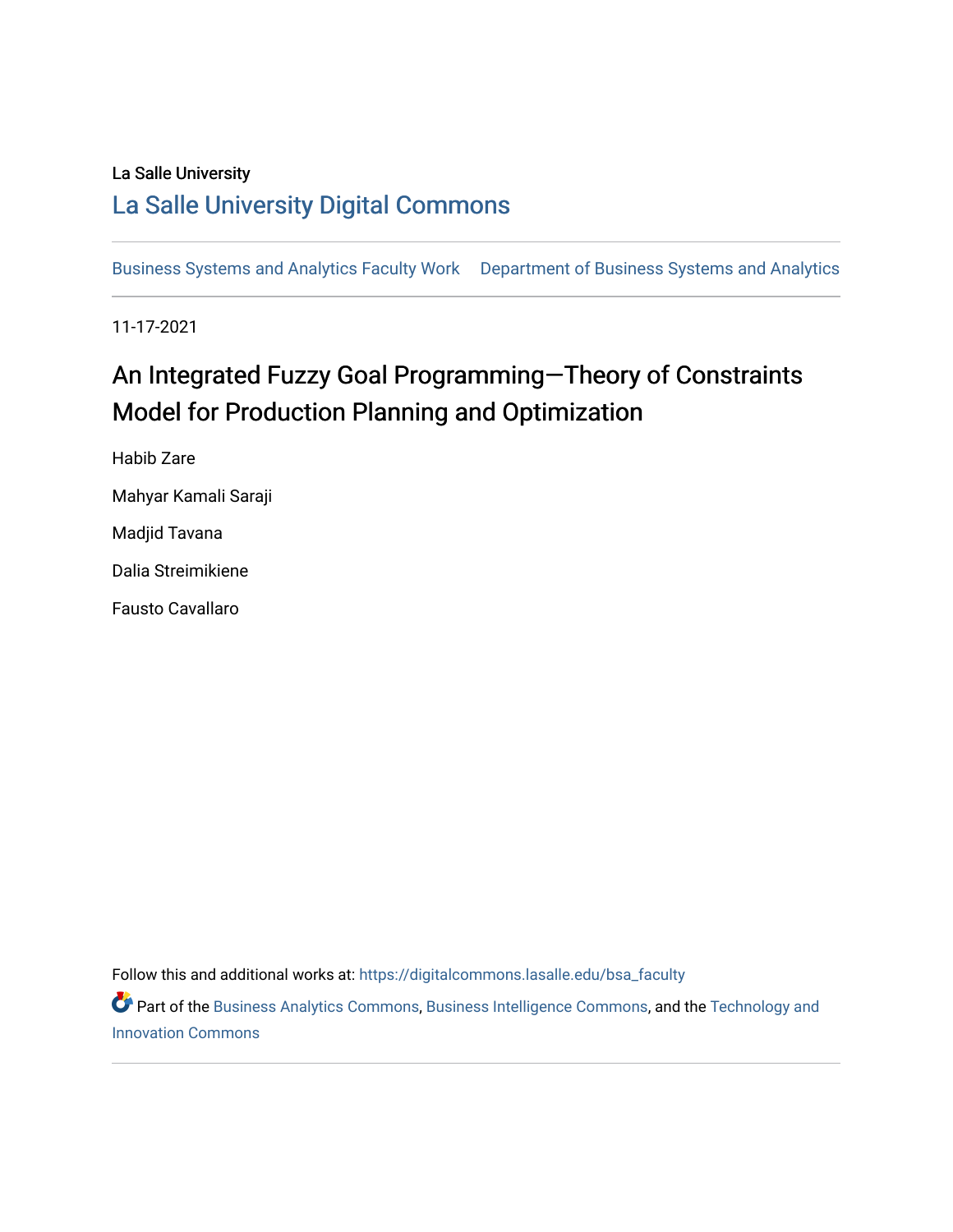### La Salle University

## [La Salle University Digital Commons](https://digitalcommons.lasalle.edu/)

[Business Systems and Analytics Faculty Work](https://digitalcommons.lasalle.edu/bsa_faculty) [Department of Business Systems and Analytics](https://digitalcommons.lasalle.edu/bsa) 

11-17-2021

# An Integrated Fuzzy Goal Programming-Theory of Constraints Model for Production Planning and Optimization

Habib Zare Mahyar Kamali Saraji Madjid Tavana Dalia Streimikiene Fausto Cavallaro

Follow this and additional works at: [https://digitalcommons.lasalle.edu/bsa\\_faculty](https://digitalcommons.lasalle.edu/bsa_faculty?utm_source=digitalcommons.lasalle.edu%2Fbsa_faculty%2F1&utm_medium=PDF&utm_campaign=PDFCoverPages) 

**Part of the [Business Analytics Commons](http://network.bepress.com/hgg/discipline/1398?utm_source=digitalcommons.lasalle.edu%2Fbsa_faculty%2F1&utm_medium=PDF&utm_campaign=PDFCoverPages), [Business Intelligence Commons](http://network.bepress.com/hgg/discipline/1326?utm_source=digitalcommons.lasalle.edu%2Fbsa_faculty%2F1&utm_medium=PDF&utm_campaign=PDFCoverPages), and the Technology and** [Innovation Commons](http://network.bepress.com/hgg/discipline/644?utm_source=digitalcommons.lasalle.edu%2Fbsa_faculty%2F1&utm_medium=PDF&utm_campaign=PDFCoverPages)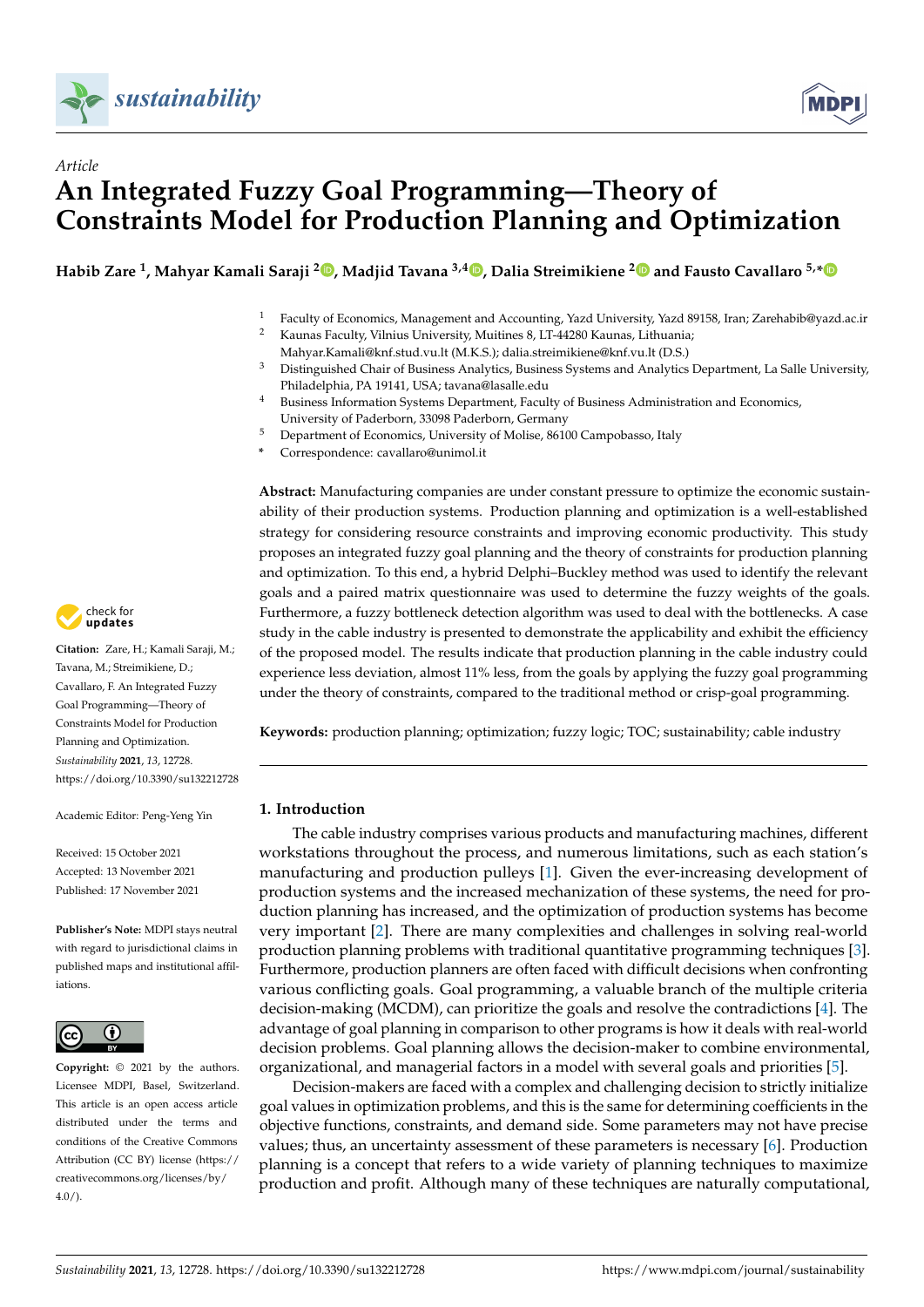



## *Article* **An Integrated Fuzzy Goal Programming—Theory of Constraints Model for Production Planning and Optimization**

**Habib Zare <sup>1</sup> , Mahyar Kamali Saraji <sup>2</sup> [,](https://orcid.org/0000-0001-8132-176X) Madjid Tavana 3,4 [,](https://orcid.org/0000-0003-2017-1723) Dalia Streimikiene [2](https://orcid.org/0000-0002-3247-9912) and Fausto Cavallaro 5,[\\*](https://orcid.org/0000-0003-4533-1025)**

- <sup>1</sup> Faculty of Economics, Management and Accounting, Yazd University, Yazd 89158, Iran; Zarehabib@yazd.ac.ir<br><sup>2</sup> Kaunas Faculty, Vilnius University, Muitines & UT-44280 Kaunas, Lithuania: <sup>2</sup> Kaunas Faculty, Vilnius University, Muitines 8, LT-44280 Kaunas, Lithuania;
	- Mahyar.Kamali@knf.stud.vu.lt (M.K.S.); dalia.streimikiene@knf.vu.lt (D.S.)
- <sup>3</sup> Distinguished Chair of Business Analytics, Business Systems and Analytics Department, La Salle University, Philadelphia, PA 19141, USA; tavana@lasalle.edu
- <sup>4</sup> Business Information Systems Department, Faculty of Business Administration and Economics, University of Paderborn, 33098 Paderborn, Germany
- <sup>5</sup> Department of Economics, University of Molise, 86100 Campobasso, Italy
- **\*** Correspondence: cavallaro@unimol.it

**Abstract:** Manufacturing companies are under constant pressure to optimize the economic sustainability of their production systems. Production planning and optimization is a well-established strategy for considering resource constraints and improving economic productivity. This study proposes an integrated fuzzy goal planning and the theory of constraints for production planning and optimization. To this end, a hybrid Delphi–Buckley method was used to identify the relevant goals and a paired matrix questionnaire was used to determine the fuzzy weights of the goals. Furthermore, a fuzzy bottleneck detection algorithm was used to deal with the bottlenecks. A case study in the cable industry is presented to demonstrate the applicability and exhibit the efficiency of the proposed model. The results indicate that production planning in the cable industry could experience less deviation, almost 11% less, from the goals by applying the fuzzy goal programming under the theory of constraints, compared to the traditional method or crisp-goal programming.

**Keywords:** production planning; optimization; fuzzy logic; TOC; sustainability; cable industry

#### **1. Introduction**

The cable industry comprises various products and manufacturing machines, different workstations throughout the process, and numerous limitations, such as each station's manufacturing and production pulleys [\[1\]](#page-14-0). Given the ever-increasing development of production systems and the increased mechanization of these systems, the need for production planning has increased, and the optimization of production systems has become very important [\[2\]](#page-14-1). There are many complexities and challenges in solving real-world production planning problems with traditional quantitative programming techniques [\[3\]](#page-14-2). Furthermore, production planners are often faced with difficult decisions when confronting various conflicting goals. Goal programming, a valuable branch of the multiple criteria decision-making (MCDM), can prioritize the goals and resolve the contradictions [\[4\]](#page-14-3). The advantage of goal planning in comparison to other programs is how it deals with real-world decision problems. Goal planning allows the decision-maker to combine environmental, organizational, and managerial factors in a model with several goals and priorities [\[5\]](#page-14-4).

Decision-makers are faced with a complex and challenging decision to strictly initialize goal values in optimization problems, and this is the same for determining coefficients in the objective functions, constraints, and demand side. Some parameters may not have precise values; thus, an uncertainty assessment of these parameters is necessary [\[6\]](#page-14-5). Production planning is a concept that refers to a wide variety of planning techniques to maximize production and profit. Although many of these techniques are naturally computational,



**Citation:** Zare, H.; Kamali Saraji, M.; Tavana, M.; Streimikiene, D.; Cavallaro, F. An Integrated Fuzzy Goal Programming—Theory of Constraints Model for Production Planning and Optimization. *Sustainability* **2021**, *13*, 12728. <https://doi.org/10.3390/su132212728>

Academic Editor: Peng-Yeng Yin

Received: 15 October 2021 Accepted: 13 November 2021 Published: 17 November 2021

**Publisher's Note:** MDPI stays neutral with regard to jurisdictional claims in published maps and institutional affiliations.



**Copyright:** © 2021 by the authors. Licensee MDPI, Basel, Switzerland. This article is an open access article distributed under the terms and conditions of the Creative Commons Attribution (CC BY) license (https:/[/](https://creativecommons.org/licenses/by/4.0/) [creativecommons.org/licenses/by/](https://creativecommons.org/licenses/by/4.0/)  $4.0/$ ).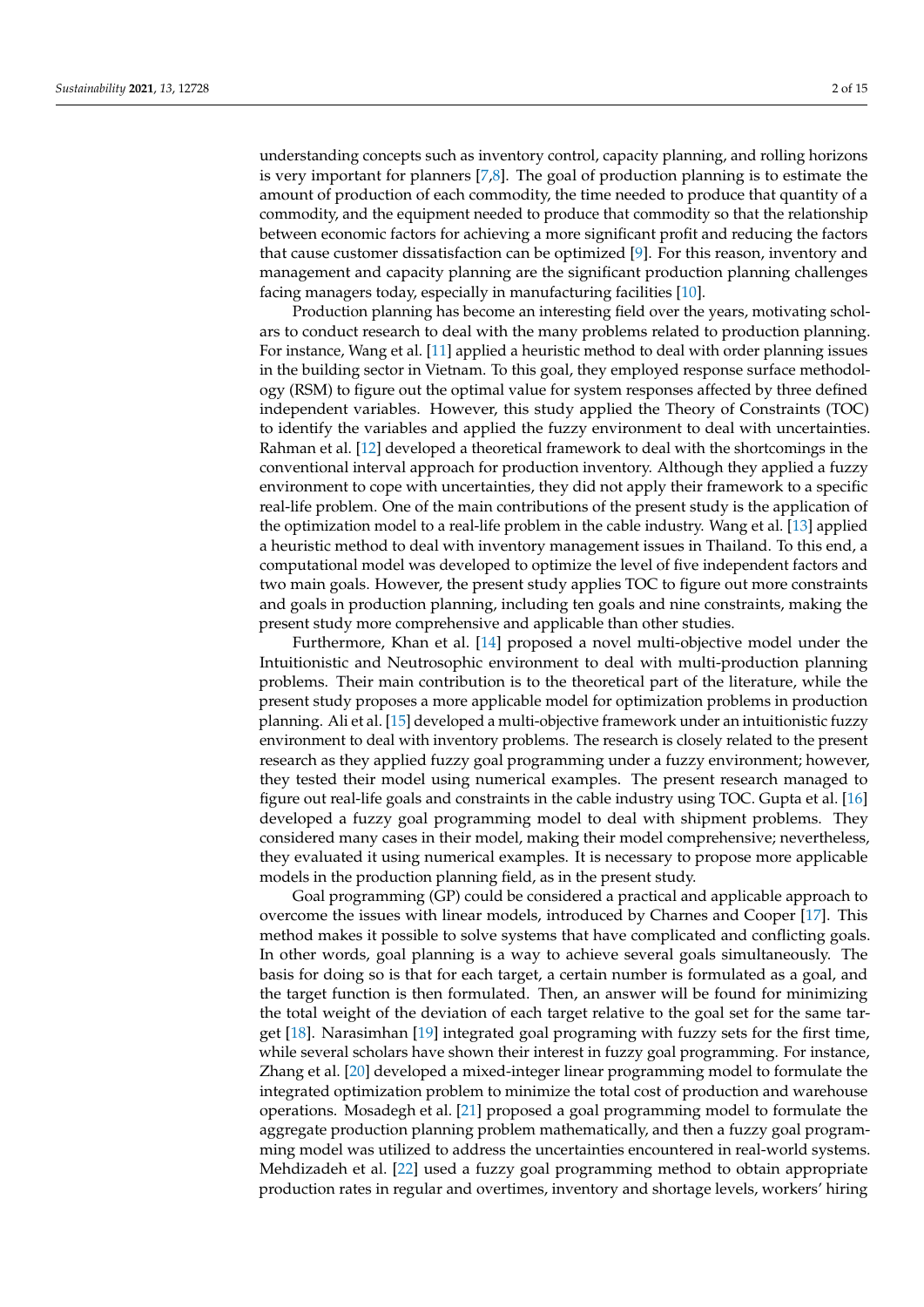understanding concepts such as inventory control, capacity planning, and rolling horizons is very important for planners  $[7,8]$  $[7,8]$ . The goal of production planning is to estimate the amount of production of each commodity, the time needed to produce that quantity of a commodity, and the equipment needed to produce that commodity so that the relationship between economic factors for achieving a more significant profit and reducing the factors that cause customer dissatisfaction can be optimized [\[9\]](#page-14-8). For this reason, inventory and management and capacity planning are the significant production planning challenges facing managers today, especially in manufacturing facilities [\[10\]](#page-14-9).

Production planning has become an interesting field over the years, motivating scholars to conduct research to deal with the many problems related to production planning. For instance, Wang et al. [\[11\]](#page-14-10) applied a heuristic method to deal with order planning issues in the building sector in Vietnam. To this goal, they employed response surface methodology (RSM) to figure out the optimal value for system responses affected by three defined independent variables. However, this study applied the Theory of Constraints (TOC) to identify the variables and applied the fuzzy environment to deal with uncertainties. Rahman et al. [\[12\]](#page-14-11) developed a theoretical framework to deal with the shortcomings in the conventional interval approach for production inventory. Although they applied a fuzzy environment to cope with uncertainties, they did not apply their framework to a specific real-life problem. One of the main contributions of the present study is the application of the optimization model to a real-life problem in the cable industry. Wang et al. [\[13\]](#page-14-12) applied a heuristic method to deal with inventory management issues in Thailand. To this end, a computational model was developed to optimize the level of five independent factors and two main goals. However, the present study applies TOC to figure out more constraints and goals in production planning, including ten goals and nine constraints, making the present study more comprehensive and applicable than other studies.

Furthermore, Khan et al. [\[14\]](#page-14-13) proposed a novel multi-objective model under the Intuitionistic and Neutrosophic environment to deal with multi-production planning problems. Their main contribution is to the theoretical part of the literature, while the present study proposes a more applicable model for optimization problems in production planning. Ali et al. [\[15\]](#page-14-14) developed a multi-objective framework under an intuitionistic fuzzy environment to deal with inventory problems. The research is closely related to the present research as they applied fuzzy goal programming under a fuzzy environment; however, they tested their model using numerical examples. The present research managed to figure out real-life goals and constraints in the cable industry using TOC. Gupta et al. [\[16\]](#page-14-15) developed a fuzzy goal programming model to deal with shipment problems. They considered many cases in their model, making their model comprehensive; nevertheless, they evaluated it using numerical examples. It is necessary to propose more applicable models in the production planning field, as in the present study.

Goal programming (GP) could be considered a practical and applicable approach to overcome the issues with linear models, introduced by Charnes and Cooper [\[17\]](#page-14-16). This method makes it possible to solve systems that have complicated and conflicting goals. In other words, goal planning is a way to achieve several goals simultaneously. The basis for doing so is that for each target, a certain number is formulated as a goal, and the target function is then formulated. Then, an answer will be found for minimizing the total weight of the deviation of each target relative to the goal set for the same target [\[18\]](#page-15-0). Narasimhan [\[19\]](#page-15-1) integrated goal programing with fuzzy sets for the first time, while several scholars have shown their interest in fuzzy goal programming. For instance, Zhang et al. [\[20\]](#page-15-2) developed a mixed-integer linear programming model to formulate the integrated optimization problem to minimize the total cost of production and warehouse operations. Mosadegh et al. [\[21\]](#page-15-3) proposed a goal programming model to formulate the aggregate production planning problem mathematically, and then a fuzzy goal programming model was utilized to address the uncertainties encountered in real-world systems. Mehdizadeh et al. [\[22\]](#page-15-4) used a fuzzy goal programming method to obtain appropriate production rates in regular and overtimes, inventory and shortage levels, workers' hiring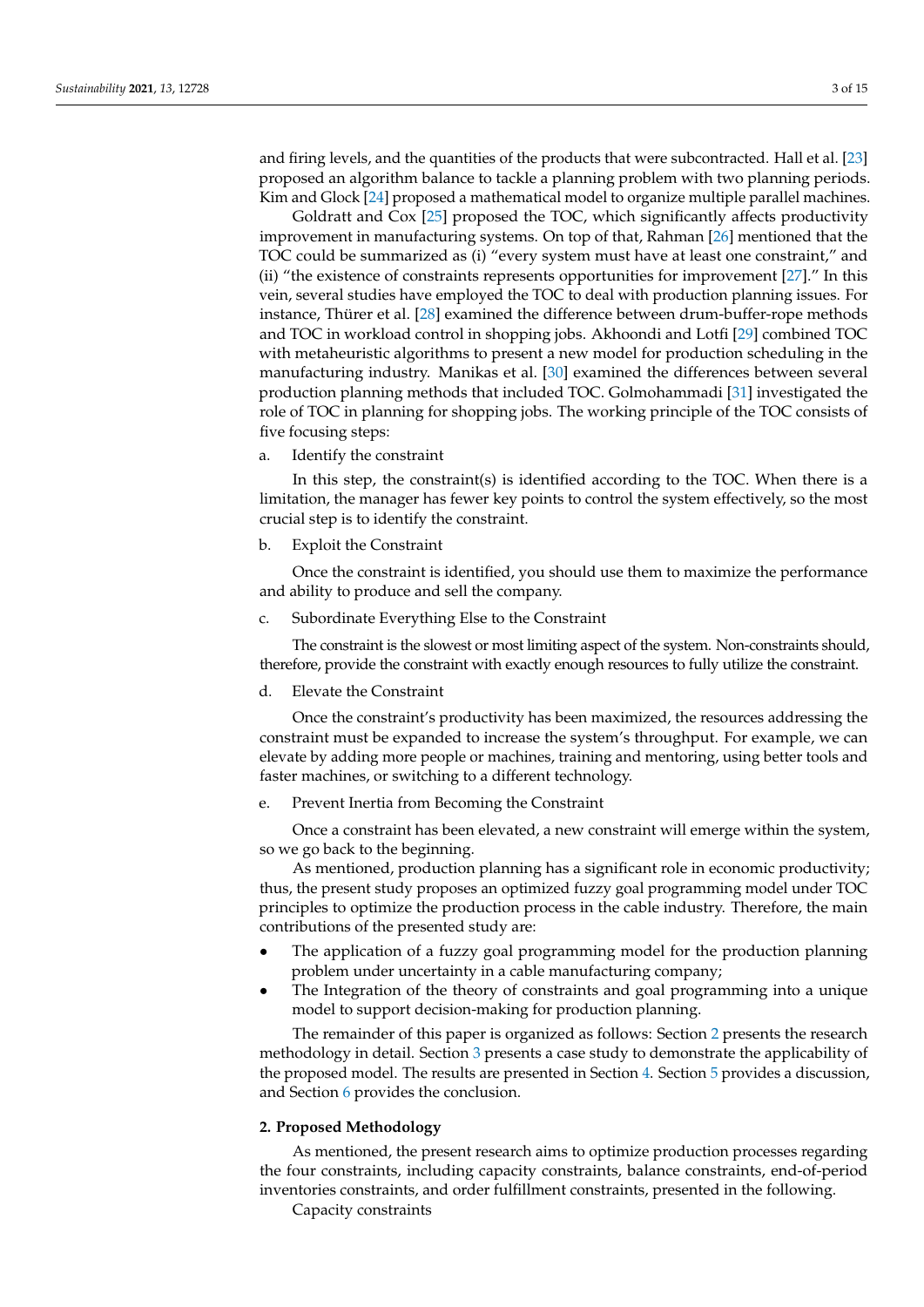and firing levels, and the quantities of the products that were subcontracted. Hall et al. [\[23\]](#page-15-5) proposed an algorithm balance to tackle a planning problem with two planning periods. Kim and Glock [\[24\]](#page-15-6) proposed a mathematical model to organize multiple parallel machines.

Goldratt and Cox [\[25\]](#page-15-7) proposed the TOC, which significantly affects productivity improvement in manufacturing systems. On top of that, Rahman [\[26\]](#page-15-8) mentioned that the TOC could be summarized as (i) "every system must have at least one constraint," and (ii) "the existence of constraints represents opportunities for improvement [\[27\]](#page-15-9)." In this vein, several studies have employed the TOC to deal with production planning issues. For instance, Thürer et al. [\[28\]](#page-15-10) examined the difference between drum-buffer-rope methods and TOC in workload control in shopping jobs. Akhoondi and Lotfi [\[29\]](#page-15-11) combined TOC with metaheuristic algorithms to present a new model for production scheduling in the manufacturing industry. Manikas et al. [\[30\]](#page-15-12) examined the differences between several production planning methods that included TOC. Golmohammadi [\[31\]](#page-15-13) investigated the role of TOC in planning for shopping jobs. The working principle of the TOC consists of five focusing steps:

a. Identify the constraint

In this step, the constraint(s) is identified according to the TOC. When there is a limitation, the manager has fewer key points to control the system effectively, so the most crucial step is to identify the constraint.

b. Exploit the Constraint

Once the constraint is identified, you should use them to maximize the performance and ability to produce and sell the company.

c. Subordinate Everything Else to the Constraint

The constraint is the slowest or most limiting aspect of the system. Non-constraints should, therefore, provide the constraint with exactly enough resources to fully utilize the constraint.

d. Elevate the Constraint

Once the constraint's productivity has been maximized, the resources addressing the constraint must be expanded to increase the system's throughput. For example, we can elevate by adding more people or machines, training and mentoring, using better tools and faster machines, or switching to a different technology.

e. Prevent Inertia from Becoming the Constraint

Once a constraint has been elevated, a new constraint will emerge within the system, so we go back to the beginning.

As mentioned, production planning has a significant role in economic productivity; thus, the present study proposes an optimized fuzzy goal programming model under TOC principles to optimize the production process in the cable industry. Therefore, the main contributions of the presented study are:

- The application of a fuzzy goal programming model for the production planning problem under uncertainty in a cable manufacturing company;
- The Integration of the theory of constraints and goal programming into a unique model to support decision-making for production planning.

The remainder of this paper is organized as follows: Section [2](#page-3-0) presents the research methodology in detail. Section [3](#page-9-0) presents a case study to demonstrate the applicability of the proposed model. The results are presented in Section [4.](#page-11-0) Section [5](#page-12-0) provides a discussion, and Section [6](#page-13-0) provides the conclusion.

#### <span id="page-3-0"></span>**2. Proposed Methodology**

As mentioned, the present research aims to optimize production processes regarding the four constraints, including capacity constraints, balance constraints, end-of-period inventories constraints, and order fulfillment constraints, presented in the following.

Capacity constraints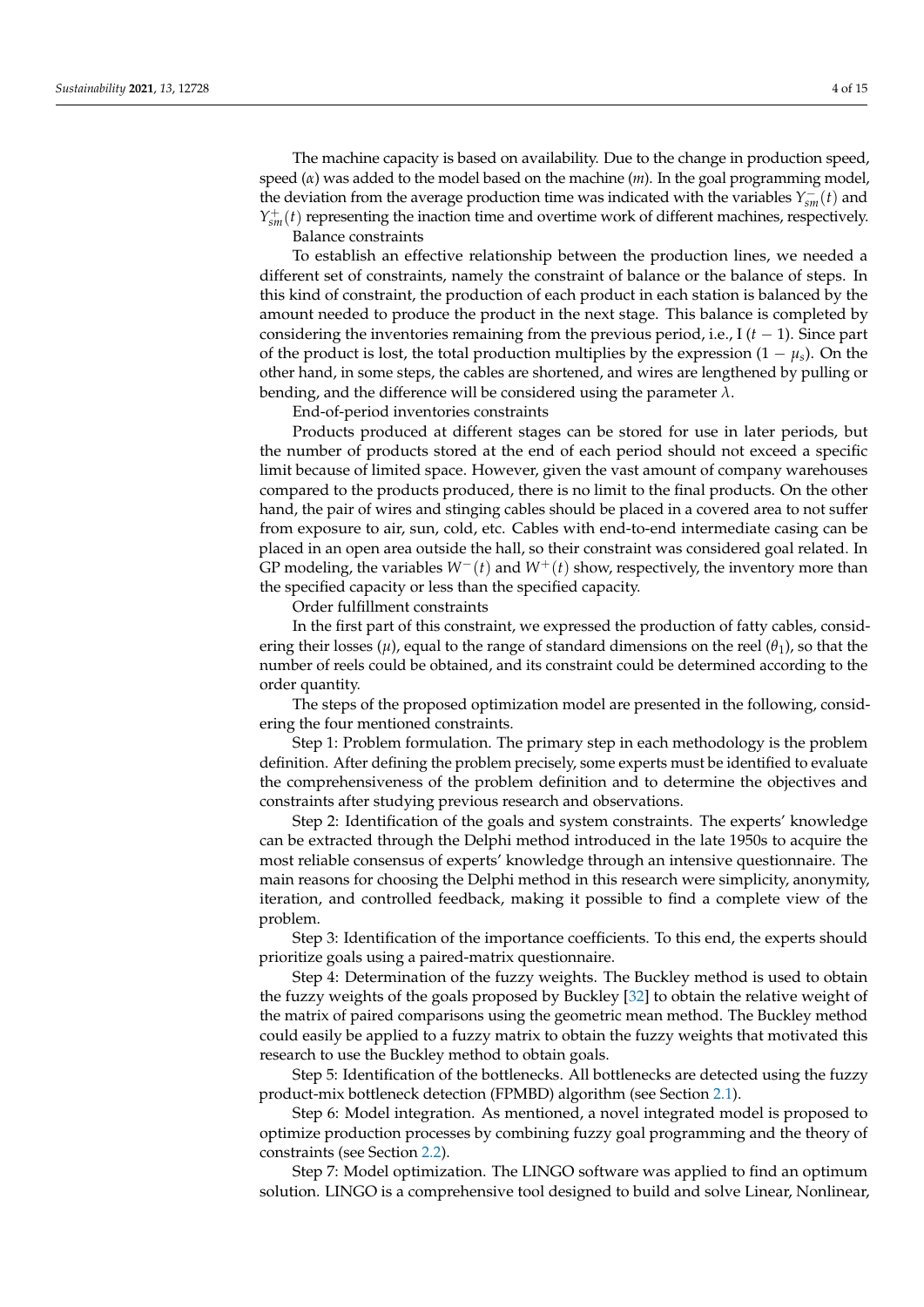The machine capacity is based on availability. Due to the change in production speed, speed (*α*) was added to the model based on the machine (*m*). In the goal programming model, the deviation from the average production time was indicated with the variables  $Y_{sm}^-(t)$  and  $Y_{sm}^+(t)$  representing the inaction time and overtime work of different machines, respectively. Balance constraints

To establish an effective relationship between the production lines, we needed a different set of constraints, namely the constraint of balance or the balance of steps. In this kind of constraint, the production of each product in each station is balanced by the amount needed to produce the product in the next stage. This balance is completed by considering the inventories remaining from the previous period, i.e.,  $I(t-1)$ . Since part of the product is lost, the total production multiplies by the expression  $(1 - \mu_s)$ . On the other hand, in some steps, the cables are shortened, and wires are lengthened by pulling or bending, and the difference will be considered using the parameter *λ*.

End-of-period inventories constraints

Products produced at different stages can be stored for use in later periods, but the number of products stored at the end of each period should not exceed a specific limit because of limited space. However, given the vast amount of company warehouses compared to the products produced, there is no limit to the final products. On the other hand, the pair of wires and stinging cables should be placed in a covered area to not suffer from exposure to air, sun, cold, etc. Cables with end-to-end intermediate casing can be placed in an open area outside the hall, so their constraint was considered goal related. In GP modeling, the variables *W*−(*t*) and *W*+(*t*) show, respectively, the inventory more than the specified capacity or less than the specified capacity.

Order fulfillment constraints

In the first part of this constraint, we expressed the production of fatty cables, considering their losses ( $\mu$ ), equal to the range of standard dimensions on the reel ( $\theta$ <sub>1</sub>), so that the number of reels could be obtained, and its constraint could be determined according to the order quantity.

The steps of the proposed optimization model are presented in the following, considering the four mentioned constraints.

Step 1: Problem formulation. The primary step in each methodology is the problem definition. After defining the problem precisely, some experts must be identified to evaluate the comprehensiveness of the problem definition and to determine the objectives and constraints after studying previous research and observations.

Step 2: Identification of the goals and system constraints. The experts' knowledge can be extracted through the Delphi method introduced in the late 1950s to acquire the most reliable consensus of experts' knowledge through an intensive questionnaire. The main reasons for choosing the Delphi method in this research were simplicity, anonymity, iteration, and controlled feedback, making it possible to find a complete view of the problem.

Step 3: Identification of the importance coefficients. To this end, the experts should prioritize goals using a paired-matrix questionnaire.

Step 4: Determination of the fuzzy weights. The Buckley method is used to obtain the fuzzy weights of the goals proposed by Buckley [\[32\]](#page-15-14) to obtain the relative weight of the matrix of paired comparisons using the geometric mean method. The Buckley method could easily be applied to a fuzzy matrix to obtain the fuzzy weights that motivated this research to use the Buckley method to obtain goals.

Step 5: Identification of the bottlenecks. All bottlenecks are detected using the fuzzy product-mix bottleneck detection (FPMBD) algorithm (see Section [2.1\)](#page-5-0).

Step 6: Model integration. As mentioned, a novel integrated model is proposed to optimize production processes by combining fuzzy goal programming and the theory of constraints (see Section [2.2\)](#page-6-0).

Step 7: Model optimization. The LINGO software was applied to find an optimum solution. LINGO is a comprehensive tool designed to build and solve Linear, Nonlinear,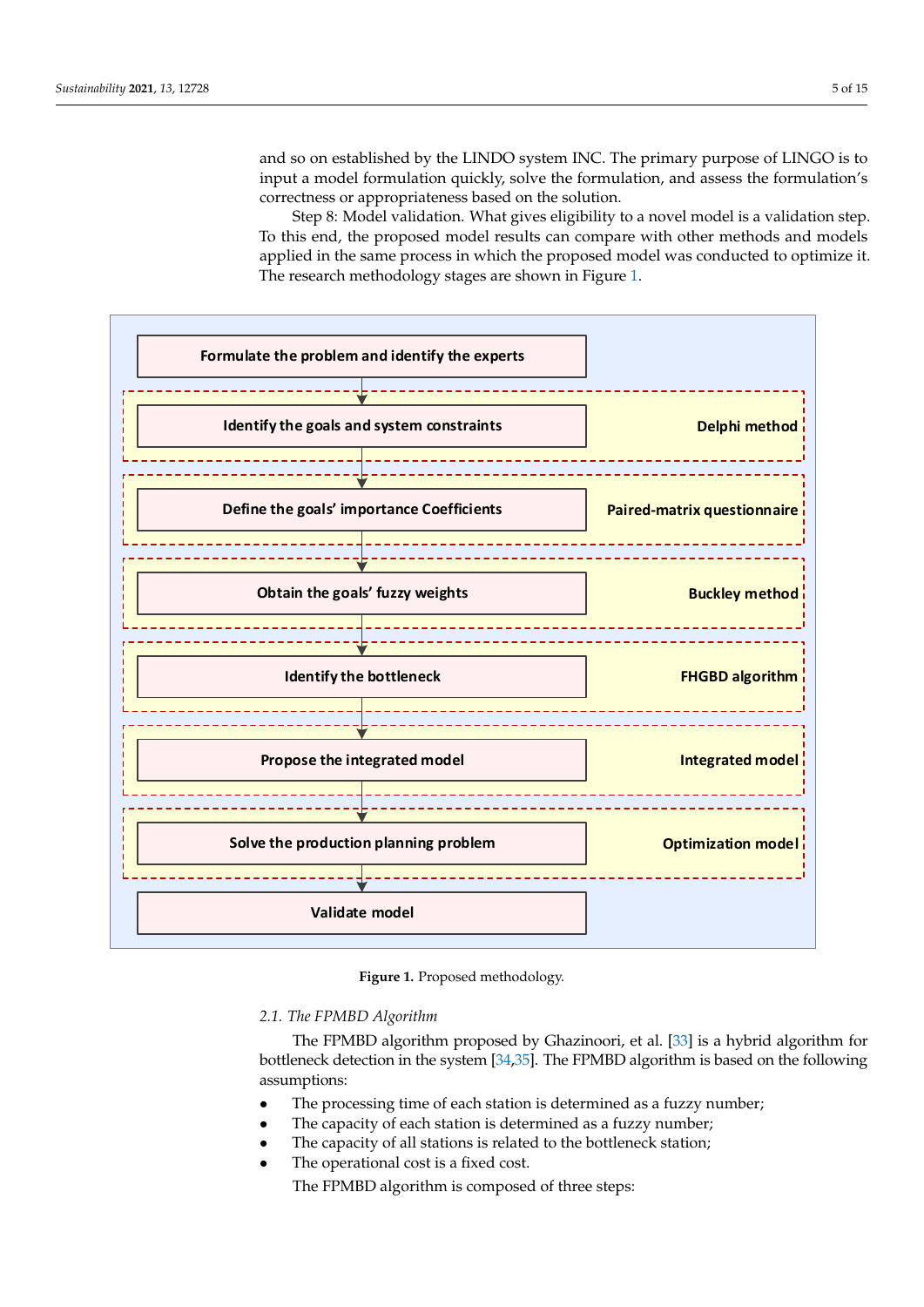and so on established by the LINDO system INC. The primary purpose of LINGO is to input a model formulation quickly, solve the formulation, and assess the formulation's input a model formulation quickly, solve the formulation, and assess the formulation's correctness or appropriateness based on the solution. solution. LINGO is a comprehensive tool designed to build and solve Linear, Nonlinear, and so on established by the LINDO system INC. The primary purpose of LINGO is to

Step 8: Model validation. What gives eligibility to a novel model is a validation step. correctness or appropriateness based on the solution. Step 8: Model validation. What gives eligibility to a novel model is a validation step.<br>To this end, the proposed model results can compare with other methods and models To this end, the proposed model results can compare with other methods and models applied in the same process in which the proposed model was conducted to optimize it. applied in the same process in which the proposed moder was conducted to optimize it.<br>The research methodology stages are shown in Figure [1.](#page-5-1) The research methodology stages are shown in Figure 1.

<span id="page-5-1"></span>

**Figure 1.** Proposed methodology. **Figure 1.** Proposed methodology.

<span id="page-5-0"></span>*2.1. The FPMBD Algorithm 2.1. The FPMBD Algorithm*

constraints (see Section 2.2).

The FPMBD algorithm proposed by Ghazinoori, et al. [33] is a hybrid algorithm for The FPMBD algorithm proposed by Ghazinoori, et al. [\[33\]](#page-15-15) is a hybrid algorithm for bottleneck detection in the system [34,35]. The FPMBD algorithm is based on the following bottleneck detection in the system [\[34](#page-15-16)[,35\]](#page-15-17). The FPMBD algorithm is based on the following assumptions: assumptions:

- The processing time of each station is determined as a fuzzy number;
- The processing time of each station is determined as a fuzzy number;
- The capacity of all stations is related to the bottleneck station;
- The operational cost is a fixed cost.

The FPMBD algorithm is composed of three steps: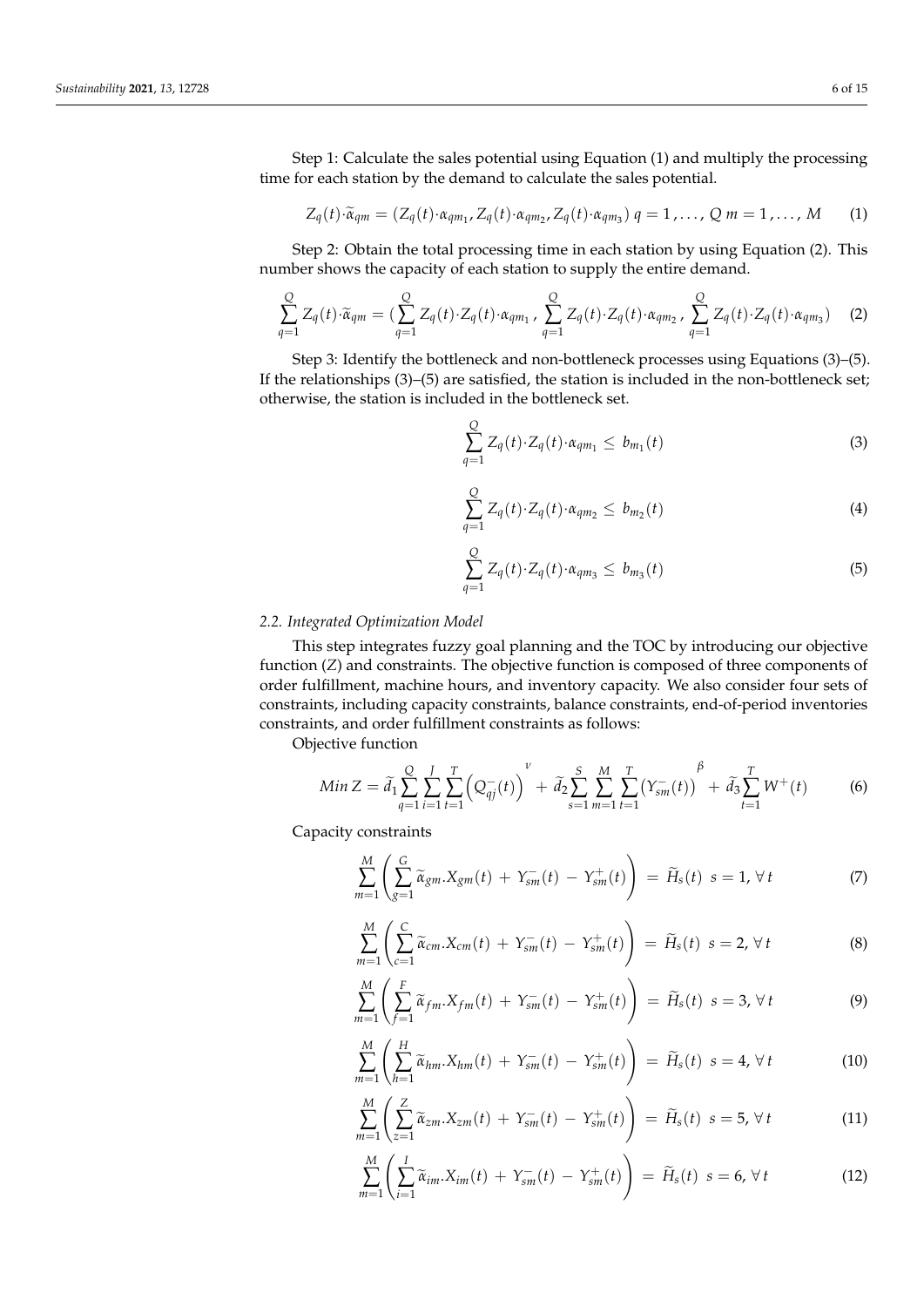Step 1: Calculate the sales potential using Equation (1) and multiply the processing time for each station by the demand to calculate the sales potential.

$$
Z_q(t) \cdot \widetilde{\alpha}_{qm} = (Z_q(t) \cdot \alpha_{qm_1}, Z_q(t) \cdot \alpha_{qm_2}, Z_q(t) \cdot \alpha_{qm_3}) q = 1, \dots, Q \, m = 1, \dots, M \qquad (1)
$$

Step 2: Obtain the total processing time in each station by using Equation (2). This number shows the capacity of each station to supply the entire demand.

$$
\sum_{q=1}^{Q} Z_q(t) \cdot \widetilde{\alpha}_{qm} = \left( \sum_{q=1}^{Q} Z_q(t) \cdot Z_q(t) \cdot \alpha_{qm_1} \right) \sum_{q=1}^{Q} Z_q(t) \cdot Z_q(t) \cdot \alpha_{qm_2} \cdot \sum_{q=1}^{Q} Z_q(t) \cdot Z_q(t) \cdot \alpha_{qm_3} \right) \tag{2}
$$

Step 3: Identify the bottleneck and non-bottleneck processes using Equations (3)–(5). If the relationships (3)–(5) are satisfied, the station is included in the non-bottleneck set; otherwise, the station is included in the bottleneck set.

$$
\sum_{q=1}^{Q} Z_q(t) \cdot Z_q(t) \cdot \alpha_{qm_1} \leq b_{m_1}(t) \tag{3}
$$

$$
\sum_{q=1}^{Q} Z_q(t) \cdot Z_q(t) \cdot \alpha_{qm_2} \leq b_{m_2}(t) \tag{4}
$$

$$
\sum_{q=1}^{Q} Z_q(t) \cdot Z_q(t) \cdot \alpha_{qm_3} \leq b_{m_3}(t) \tag{5}
$$

#### <span id="page-6-0"></span>*2.2. Integrated Optimization Model*

This step integrates fuzzy goal planning and the TOC by introducing our objective function (*Z*) and constraints. The objective function is composed of three components of order fulfillment, machine hours, and inventory capacity. We also consider four sets of constraints, including capacity constraints, balance constraints, end-of-period inventories constraints, and order fulfillment constraints as follows:

Objective function

$$
Min Z = \tilde{d}_1 \sum_{q=1}^{Q} \sum_{i=1}^{J} \sum_{t=1}^{T} \left( Q_{qj}^{-}(t) \right)^{\nu} + \tilde{d}_2 \sum_{s=1}^{S} \sum_{m=1}^{M} \sum_{t=1}^{T} \left( Y_{sm}^{-}(t) \right)^{\beta} + \tilde{d}_3 \sum_{t=1}^{T} W^{+}(t) \tag{6}
$$

Capacity constraints

$$
\sum_{m=1}^{M} \left( \sum_{g=1}^{G} \widetilde{\alpha}_{gm} . X_{gm}(t) + Y_{sm}^{-}(t) - Y_{sm}^{+}(t) \right) = \widetilde{H}_s(t) \ s = 1, \ \forall \ t \tag{7}
$$

$$
\sum_{m=1}^{M} \left( \sum_{c=1}^{C} \widetilde{\alpha}_{cm} X_{cm}(t) + Y_{sm}^{-}(t) - Y_{sm}^{+}(t) \right) = \widetilde{H}_s(t) \ s = 2, \ \forall \ t
$$
\n(8)

$$
\sum_{m=1}^{M} \left( \sum_{f=1}^{F} \widetilde{\alpha}_{fm}. X_{fm}(t) + Y_{sm}^{-}(t) - Y_{sm}^{+}(t) \right) = \widetilde{H}_s(t) \ s = 3, \forall t \tag{9}
$$

$$
\sum_{m=1}^{M} \left( \sum_{h=1}^{H} \widetilde{\alpha}_{hm} . X_{hm}(t) + Y_{sm}^{-}(t) - Y_{sm}^{+}(t) \right) = \widetilde{H}_s(t) \ s = 4, \ \forall \ t \tag{10}
$$

$$
\sum_{m=1}^{M} \left( \sum_{z=1}^{Z} \widetilde{\alpha}_{zm} . X_{zm}(t) + Y_{sm}^{-}(t) - Y_{sm}^{+}(t) \right) = \widetilde{H}_s(t) \ s = 5, \forall t
$$
\n(11)

$$
\sum_{m=1}^{M} \left( \sum_{i=1}^{I} \widetilde{\alpha}_{im} X_{im}(t) + Y_{sm}^{-}(t) - Y_{sm}^{+}(t) \right) = \widetilde{H}_s(t) \ s = 6, \ \forall \ t \tag{12}
$$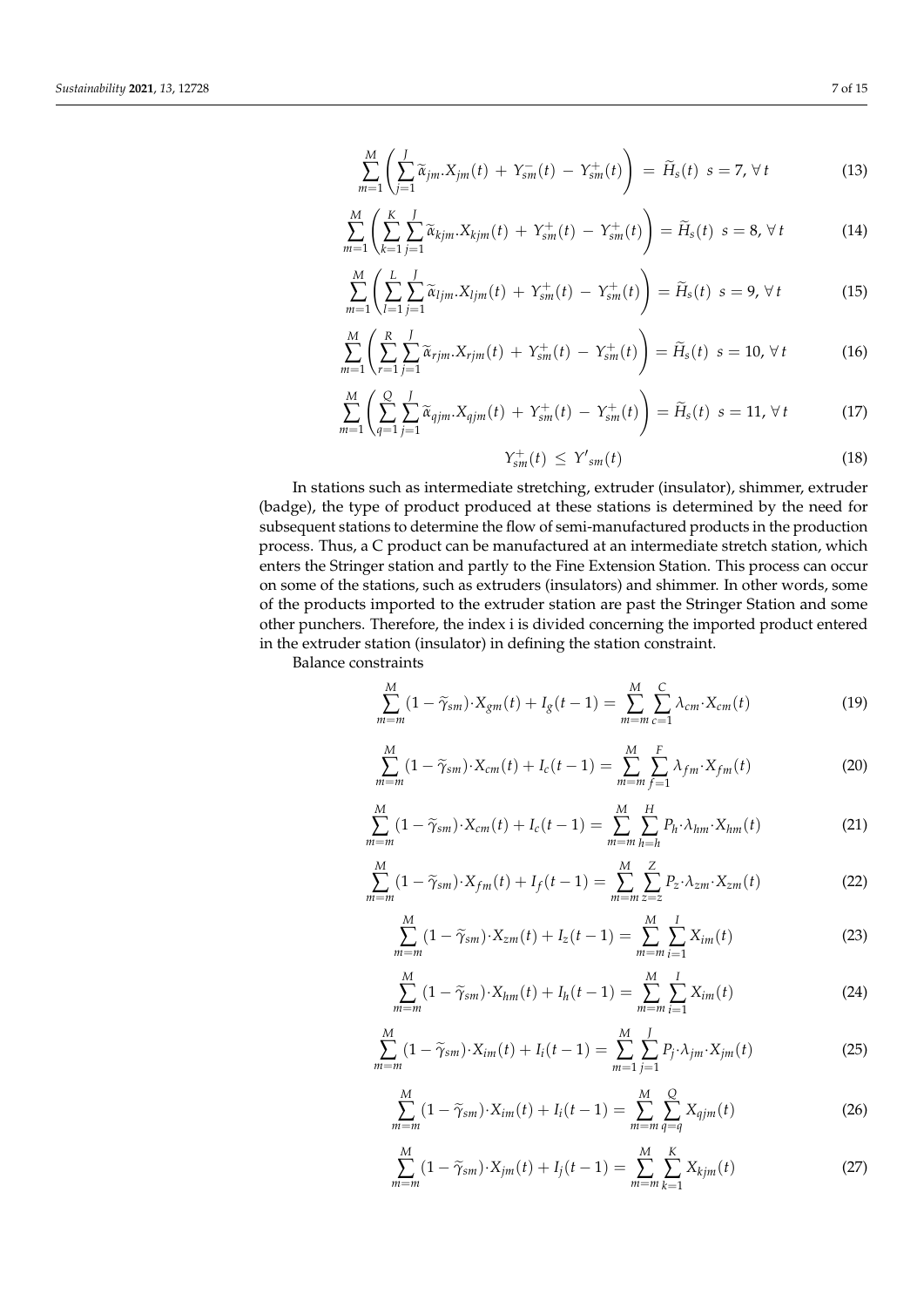$$
\sum_{m=1}^{M} \left( \sum_{j=1}^{J} \widetilde{\alpha}_{jm} X_{jm}(t) + Y_{sm}^{-}(t) - Y_{sm}^{+}(t) \right) = \widetilde{H}_s(t) \ s = 7, \ \forall \ t \tag{13}
$$

$$
\sum_{m=1}^{M} \left( \sum_{k=1}^{K} \sum_{j=1}^{J} \widetilde{\alpha}_{kjm} . X_{kjm}(t) + Y_{sm}^{+}(t) - Y_{sm}^{+}(t) \right) = \widetilde{H}_s(t) \ s = 8, \ \forall \ t \tag{14}
$$

$$
\sum_{m=1}^{M} \left( \sum_{l=1}^{L} \sum_{j=1}^{J} \widetilde{\alpha}_{ljm} X_{ljm}(t) + Y_{sm}^{+}(t) - Y_{sm}^{+}(t) \right) = \widetilde{H}_{s}(t) \ s = 9, \forall t \tag{15}
$$

$$
\sum_{m=1}^{M} \left( \sum_{r=1}^{R} \sum_{j=1}^{J} \widetilde{\alpha}_{rjm} X_{rjm}(t) + Y_{sm}^{+}(t) - Y_{sm}^{+}(t) \right) = \widetilde{H}_s(t) \ s = 10, \ \forall \ t \tag{16}
$$

$$
\sum_{m=1}^{M} \left( \sum_{q=1}^{Q} \sum_{j=1}^{J} \widetilde{\alpha}_{qjm} X_{qjm}(t) + Y_{sm}^{+}(t) - Y_{sm}^{+}(t) \right) = \widetilde{H}_s(t) \ s = 11, \ \forall \ t \tag{17}
$$

$$
Y_{sm}^+(t) \leq Y'_{sm}(t) \tag{18}
$$

In stations such as intermediate stretching, extruder (insulator), shimmer, extruder (badge), the type of product produced at these stations is determined by the need for subsequent stations to determine the flow of semi-manufactured products in the production process. Thus, a C product can be manufactured at an intermediate stretch station, which enters the Stringer station and partly to the Fine Extension Station. This process can occur on some of the stations, such as extruders (insulators) and shimmer. In other words, some of the products imported to the extruder station are past the Stringer Station and some other punchers. Therefore, the index i is divided concerning the imported product entered in the extruder station (insulator) in defining the station constraint.

Balance constraints

$$
\sum_{m=m}^{M} (1 - \widetilde{\gamma}_{sm}) \cdot X_{gm}(t) + I_g(t-1) = \sum_{m=m}^{M} \sum_{c=1}^{C} \lambda_{cm} \cdot X_{cm}(t)
$$
\n(19)

$$
\sum_{m=m}^{M} (1 - \widetilde{\gamma}_{sm}) \cdot X_{cm}(t) + I_c(t-1) = \sum_{m=m}^{M} \sum_{f=1}^{F} \lambda_{fm} \cdot X_{fm}(t)
$$
 (20)

$$
\sum_{m=m}^{M} (1 - \widetilde{\gamma}_{sm}) \cdot X_{cm}(t) + I_c(t-1) = \sum_{m=m}^{M} \sum_{h=h}^{H} P_h \cdot \lambda_{hm} \cdot X_{hm}(t)
$$
 (21)

$$
\sum_{m=m}^{M} (1 - \widetilde{\gamma}_{sm}) \cdot X_{fm}(t) + I_f(t-1) = \sum_{m=m}^{M} \sum_{z=z}^{Z} P_z \cdot \lambda_{zm} \cdot X_{zm}(t)
$$
 (22)

$$
\sum_{m=m}^{M} (1 - \widetilde{\gamma}_{sm}) \cdot X_{zm}(t) + I_z(t-1) = \sum_{m=m}^{M} \sum_{i=1}^{I} X_{im}(t)
$$
 (23)

$$
\sum_{m=m}^{M} (1 - \widetilde{\gamma}_{sm}) \cdot X_{hm}(t) + I_h(t-1) = \sum_{m=m}^{M} \sum_{i=1}^{I} X_{im}(t)
$$
 (24)

$$
\sum_{m=m}^{M} (1 - \widetilde{\gamma}_{sm}) \cdot X_{im}(t) + I_i(t-1) = \sum_{m=1}^{M} \sum_{j=1}^{J} P_j \cdot \lambda_{jm} \cdot X_{jm}(t)
$$
 (25)

$$
\sum_{m=m}^{M} (1 - \widetilde{\gamma}_{sm}) \cdot X_{im}(t) + I_i(t-1) = \sum_{m=m}^{M} \sum_{q=q}^{Q} X_{qjm}(t)
$$
 (26)

$$
\sum_{m=m}^{M} (1 - \widetilde{\gamma}_{sm}) \cdot X_{jm}(t) + I_j(t-1) = \sum_{m=m}^{M} \sum_{k=1}^{K} X_{kjm}(t)
$$
 (27)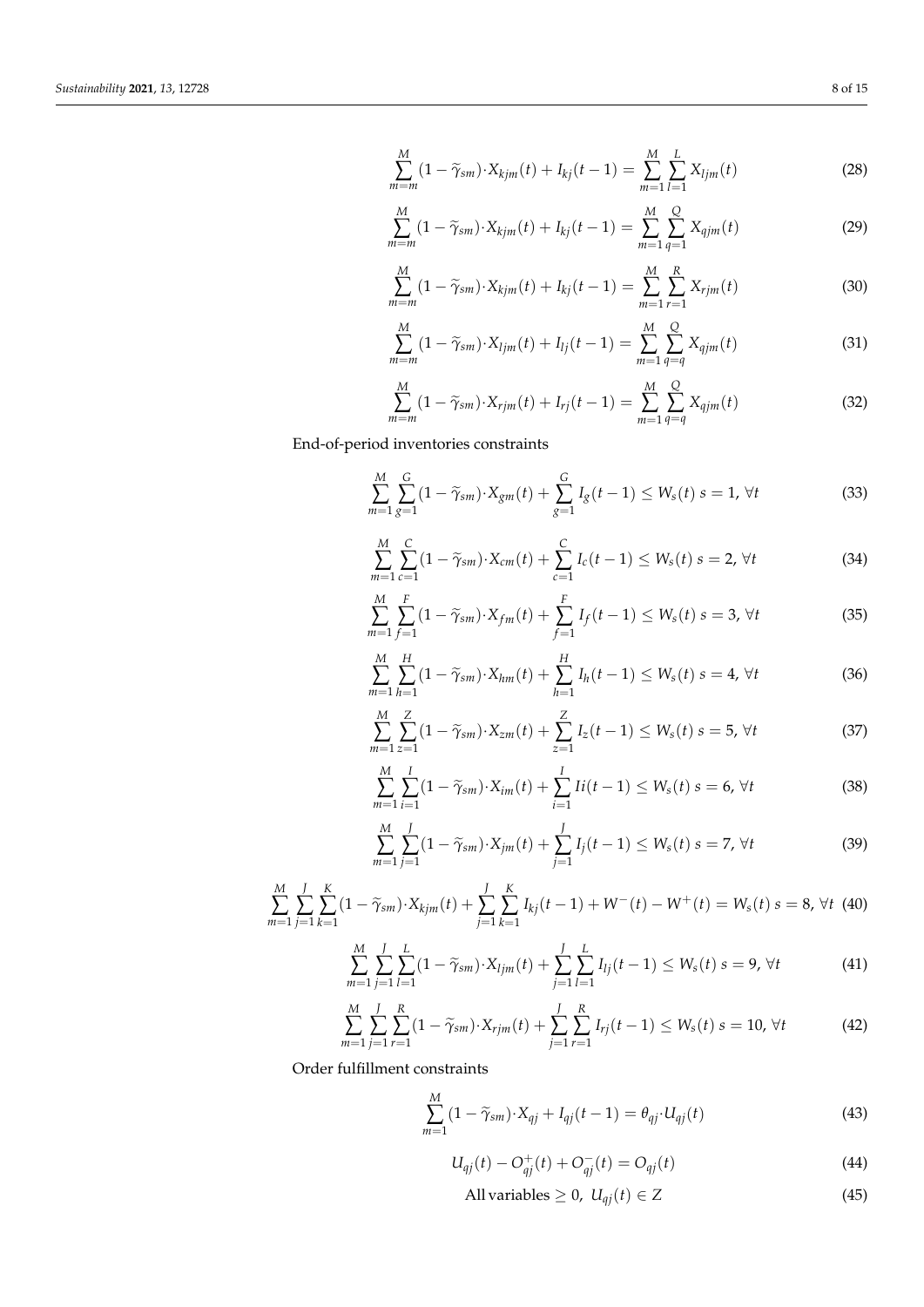$$
\sum_{m=m}^{M} (1 - \widetilde{\gamma}_{sm}) \cdot X_{kjm}(t) + I_{kj}(t-1) = \sum_{m=1}^{M} \sum_{l=1}^{L} X_{ljm}(t)
$$
\n(28)

$$
\sum_{m=m}^{M} (1 - \widetilde{\gamma}_{sm}) \cdot X_{kjm}(t) + I_{kj}(t-1) = \sum_{m=1}^{M} \sum_{q=1}^{Q} X_{qjm}(t)
$$
 (29)

$$
\sum_{m=m}^{M} (1 - \widetilde{\gamma}_{sm}) \cdot X_{kjm}(t) + I_{kj}(t-1) = \sum_{m=1}^{M} \sum_{r=1}^{R} X_{rjm}(t)
$$
\n(30)

$$
\sum_{m=m}^{M} (1 - \widetilde{\gamma}_{sm}) \cdot X_{ljm}(t) + I_{lj}(t-1) = \sum_{m=1}^{M} \sum_{q=q}^{Q} X_{qjm}(t)
$$
(31)

$$
\sum_{m=m}^{M} (1 - \widetilde{\gamma}_{sm}) \cdot X_{rjm}(t) + I_{rj}(t-1) = \sum_{m=1}^{M} \sum_{q=q}^{Q} X_{qjm}(t)
$$
 (32)

End-of-period inventories constraints

$$
\sum_{m=1}^{M} \sum_{g=1}^{G} (1 - \widetilde{\gamma}_{sm}) \cdot X_{gm}(t) + \sum_{g=1}^{G} I_g(t-1) \le W_s(t) \ s = 1, \ \forall t \tag{33}
$$

$$
\sum_{m=1}^{M} \sum_{c=1}^{C} (1 - \widetilde{\gamma}_{sm}) \cdot X_{cm}(t) + \sum_{c=1}^{C} I_c(t-1) \le W_s(t) \ s = 2, \ \forall t \tag{34}
$$

$$
\sum_{m=1}^{M} \sum_{f=1}^{F} (1 - \widetilde{\gamma}_{sm}) \cdot X_{fm}(t) + \sum_{f=1}^{F} I_f(t-1) \le W_s(t) \ s = 3, \ \forall t \tag{35}
$$

$$
\sum_{m=1}^{M} \sum_{h=1}^{H} (1 - \widetilde{\gamma}_{sm}) \cdot X_{hm}(t) + \sum_{h=1}^{H} I_h(t-1) \le W_s(t) \ s = 4, \ \forall t \tag{36}
$$

$$
\sum_{m=1}^{M} \sum_{z=1}^{Z} (1 - \widetilde{\gamma}_{sm}) \cdot X_{zm}(t) + \sum_{z=1}^{Z} I_z(t-1) \le W_s(t) \ s = 5, \ \forall t \tag{37}
$$

$$
\sum_{m=1}^{M} \sum_{i=1}^{I} (1 - \widetilde{\gamma}_{sm}) \cdot X_{im}(t) + \sum_{i=1}^{I} I i(t-1) \le W_s(t) \ s = 6, \ \forall t \tag{38}
$$

$$
\sum_{m=1}^{M} \sum_{j=1}^{J} (1 - \widetilde{\gamma}_{sm}) \cdot X_{jm}(t) + \sum_{j=1}^{J} I_j(t-1) \le W_s(t) \ s = 7, \ \forall t \tag{39}
$$

$$
\sum_{m=1}^{M} \sum_{j=1}^{J} \sum_{k=1}^{K} (1 - \widetilde{\gamma}_{sm}) \cdot X_{kjm}(t) + \sum_{j=1}^{J} \sum_{k=1}^{K} I_{kj}(t-1) + W^-(t) - W^+(t) = W_s(t) \ s = 8, \ \forall t \tag{40}
$$

$$
\sum_{m=1}^{M} \sum_{j=1}^{J} \sum_{l=1}^{L} (1 - \widetilde{\gamma}_{sm}) \cdot X_{ljm}(t) + \sum_{j=1}^{J} \sum_{l=1}^{L} I_{lj}(t-1) \le W_s(t) \ s = 9, \ \forall t \tag{41}
$$

$$
\sum_{m=1}^{M} \sum_{j=1}^{J} \sum_{r=1}^{R} (1 - \widetilde{\gamma}_{sm}) \cdot X_{rjm}(t) + \sum_{j=1}^{J} \sum_{r=1}^{R} I_{rj}(t-1) \le W_s(t) \ s = 10, \ \forall t \tag{42}
$$

Order fulfillment constraints

$$
\sum_{m=1}^{M} (1 - \widetilde{\gamma}_{sm}) \cdot X_{qj} + I_{qj}(t-1) = \theta_{qj} \cdot U_{qj}(t)
$$
\n(43)

$$
U_{qj}(t) - O_{qj}^{+}(t) + O_{qj}^{-}(t) = O_{qj}(t)
$$
\n(44)

$$
All variables \ge 0, \ U_{qj}(t) \in Z
$$
\n(45)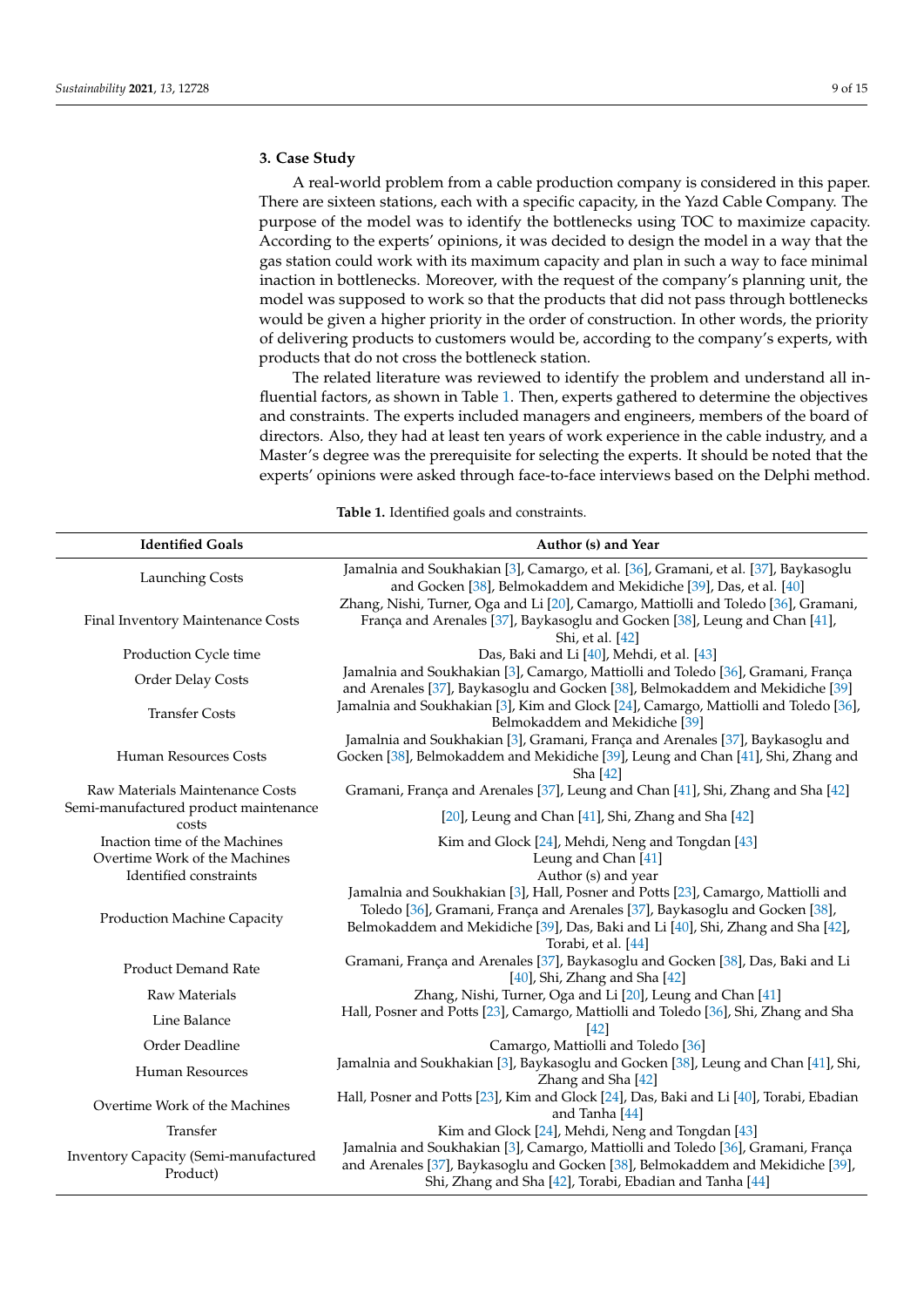#### <span id="page-9-0"></span>**3. Case Study**

A real-world problem from a cable production company is considered in this paper. There are sixteen stations, each with a specific capacity, in the Yazd Cable Company. The purpose of the model was to identify the bottlenecks using TOC to maximize capacity. According to the experts' opinions, it was decided to design the model in a way that the gas station could work with its maximum capacity and plan in such a way to face minimal inaction in bottlenecks. Moreover, with the request of the company's planning unit, the model was supposed to work so that the products that did not pass through bottlenecks would be given a higher priority in the order of construction. In other words, the priority of delivering products to customers would be, according to the company's experts, with products that do not cross the bottleneck station.

The related literature was reviewed to identify the problem and understand all influential factors, as shown in Table [1.](#page-9-1) Then, experts gathered to determine the objectives and constraints. The experts included managers and engineers, members of the board of directors. Also, they had at least ten years of work experience in the cable industry, and a Master's degree was the prerequisite for selecting the experts. It should be noted that the experts' opinions were asked through face-to-face interviews based on the Delphi method.

<span id="page-9-1"></span>

| <b>Identified Goals</b>                           | Author (s) and Year                                                                                                                                                                                                                                                       |
|---------------------------------------------------|---------------------------------------------------------------------------------------------------------------------------------------------------------------------------------------------------------------------------------------------------------------------------|
| Launching Costs                                   | Jamalnia and Soukhakian [3], Camargo, et al. [36], Gramani, et al. [37], Baykasoglu<br>and Gocken [38], Belmokaddem and Mekidiche [39], Das, et al. [40]                                                                                                                  |
| Final Inventory Maintenance Costs                 | Zhang, Nishi, Turner, Oga and Li [20], Camargo, Mattiolli and Toledo [36], Gramani,<br>França and Arenales [37], Baykasoglu and Gocken [38], Leung and Chan [41],<br>Shi, et al. [42]                                                                                     |
| Production Cycle time                             | Das, Baki and Li [40], Mehdi, et al. [43]                                                                                                                                                                                                                                 |
| Order Delay Costs                                 | Jamalnia and Soukhakian [3], Camargo, Mattiolli and Toledo [36], Gramani, França<br>and Arenales [37], Baykasoglu and Gocken [38], Belmokaddem and Mekidiche [39]                                                                                                         |
| <b>Transfer Costs</b>                             | Jamalnia and Soukhakian [3], Kim and Glock [24], Camargo, Mattiolli and Toledo [36],<br>Belmokaddem and Mekidiche [39]                                                                                                                                                    |
| Human Resources Costs                             | Jamalnia and Soukhakian [3], Gramani, França and Arenales [37], Baykasoglu and<br>Gocken [38], Belmokaddem and Mekidiche [39], Leung and Chan [41], Shi, Zhang and<br>Sha [42]                                                                                            |
| Raw Materials Maintenance Costs                   | Gramani, França and Arenales [37], Leung and Chan [41], Shi, Zhang and Sha [42]                                                                                                                                                                                           |
| Semi-manufactured product maintenance<br>costs    | [20], Leung and Chan [41], Shi, Zhang and Sha [42]                                                                                                                                                                                                                        |
| Inaction time of the Machines                     | Kim and Glock [24], Mehdi, Neng and Tongdan [43]                                                                                                                                                                                                                          |
| Overtime Work of the Machines                     | Leung and Chan [41]                                                                                                                                                                                                                                                       |
| Identified constraints                            | Author (s) and year                                                                                                                                                                                                                                                       |
| <b>Production Machine Capacity</b>                | Jamalnia and Soukhakian [3], Hall, Posner and Potts [23], Camargo, Mattiolli and<br>Toledo [36], Gramani, França and Arenales [37], Baykasoglu and Gocken [38],<br>Belmokaddem and Mekidiche [39], Das, Baki and Li [40], Shi, Zhang and Sha [42],<br>Torabi, et al. [44] |
| <b>Product Demand Rate</b>                        | Gramani, França and Arenales [37], Baykasoglu and Gocken [38], Das, Baki and Li<br>$[40]$ , Shi, Zhang and Sha $[42]$                                                                                                                                                     |
| <b>Raw Materials</b>                              | Zhang, Nishi, Turner, Oga and Li [20], Leung and Chan [41]                                                                                                                                                                                                                |
| Line Balance                                      | Hall, Posner and Potts [23], Camargo, Mattiolli and Toledo [36], Shi, Zhang and Sha<br>$[42]$                                                                                                                                                                             |
| Order Deadline                                    | Camargo, Mattiolli and Toledo [36]                                                                                                                                                                                                                                        |
| <b>Human Resources</b>                            | Jamalnia and Soukhakian [3], Baykasoglu and Gocken [38], Leung and Chan [41], Shi,<br>Zhang and Sha [42]                                                                                                                                                                  |
| Overtime Work of the Machines                     | Hall, Posner and Potts [23], Kim and Glock [24], Das, Baki and Li [40], Torabi, Ebadian<br>and Tanha [44]                                                                                                                                                                 |
| Transfer                                          | Kim and Glock [24], Mehdi, Neng and Tongdan [43]                                                                                                                                                                                                                          |
| Inventory Capacity (Semi-manufactured<br>Product) | Jamalnia and Soukhakian [3], Camargo, Mattiolli and Toledo [36], Gramani, França<br>and Arenales [37], Baykasoglu and Gocken [38], Belmokaddem and Mekidiche [39],<br>Shi, Zhang and Sha [42], Torabi, Ebadian and Tanha [44]                                             |

**Table 1.** Identified goals and constraints.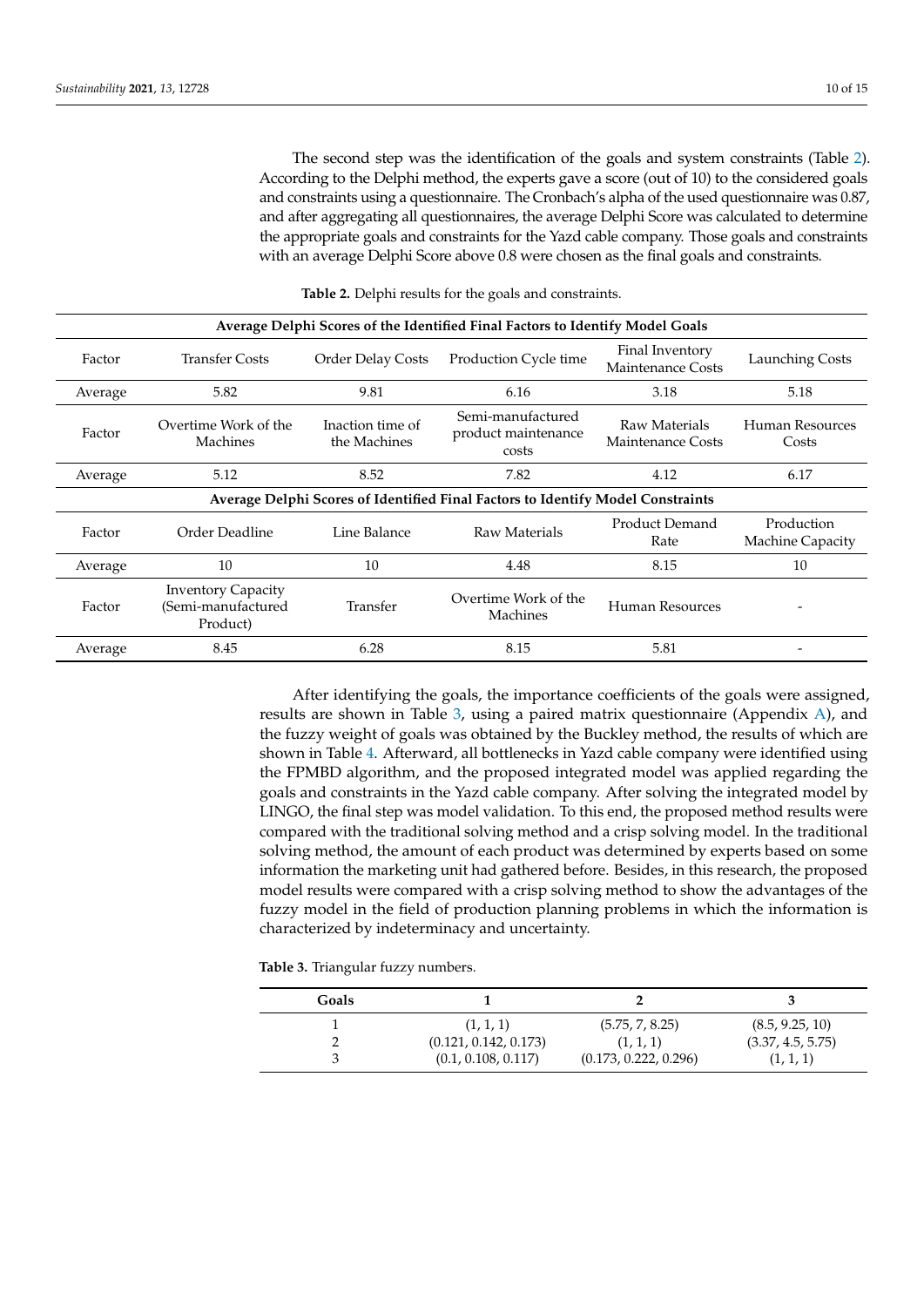The second step was the identification of the goals and system constraints (Table [2\)](#page-10-0). According to the Delphi method, the experts gave a score (out of 10) to the considered goals and constraints using a questionnaire. The Cronbach's alpha of the used questionnaire was 0.87, and after aggregating all questionnaires, the average Delphi Score was calculated to determine the appropriate goals and constraints for the Yazd cable company. Those goals and constraints with an average Delphi Score above 0.8 were chosen as the final goals and constraints.

<span id="page-10-0"></span>**Average Delphi Scores of the Identified Final Factors to Identify Model Goals** Factor Transfer Costs Order Delay Costs Production Cycle time Final Inventory Maintenance Costs<br>Maintenance Costs Average 5.82 9.81 6.16 5.18 5.18 5.18 Factor Overtime Work of the Machines Inaction time of the Machines Semi-manufactured product maintenance costs Raw Materials Maintenance Costs Human Resources Costs Average 5.12 8.52 7.82 4.12 6.17 **Average Delphi Scores of Identified Final Factors to Identify Model Constraints** Factor Order Deadline Line Balance Raw Materials Product Demand Rate Production Machine Capacity Average 10 10 10 4.48 8.15 10 Factor Inventory Capacity (Semi-manufactured Product) Transfer Overtime Work of the<br>Machines Human Resources Average 8.45 6.28 8.15 5.81 -

**Table 2.** Delphi results for the goals and constraints.

After identifying the goals, the importance coefficients of the goals were assigned, results are shown in Table [3,](#page-10-1) using a paired matrix questionnaire (Appendix [A\)](#page-14-17), and the fuzzy weight of goals was obtained by the Buckley method, the results of which are shown in Table [4.](#page-11-1) Afterward, all bottlenecks in Yazd cable company were identified using the FPMBD algorithm, and the proposed integrated model was applied regarding the goals and constraints in the Yazd cable company. After solving the integrated model by LINGO, the final step was model validation. To this end, the proposed method results were compared with the traditional solving method and a crisp solving model. In the traditional solving method, the amount of each product was determined by experts based on some information the marketing unit had gathered before. Besides, in this research, the proposed model results were compared with a crisp solving method to show the advantages of the fuzzy model in the field of production planning problems in which the information is characterized by indeterminacy and uncertainty.

<span id="page-10-1"></span>**Table 3.** Triangular fuzzy numbers.

| Goals |                       |                       |                   |
|-------|-----------------------|-----------------------|-------------------|
|       | (1, 1, 1)             | (5.75, 7, 8.25)       | (8.5, 9.25, 10)   |
|       | (0.121, 0.142, 0.173) | (1, 1, 1)             | (3.37, 4.5, 5.75) |
|       | (0.1, 0.108, 0.117)   | (0.173, 0.222, 0.296) | (1, 1, 1)         |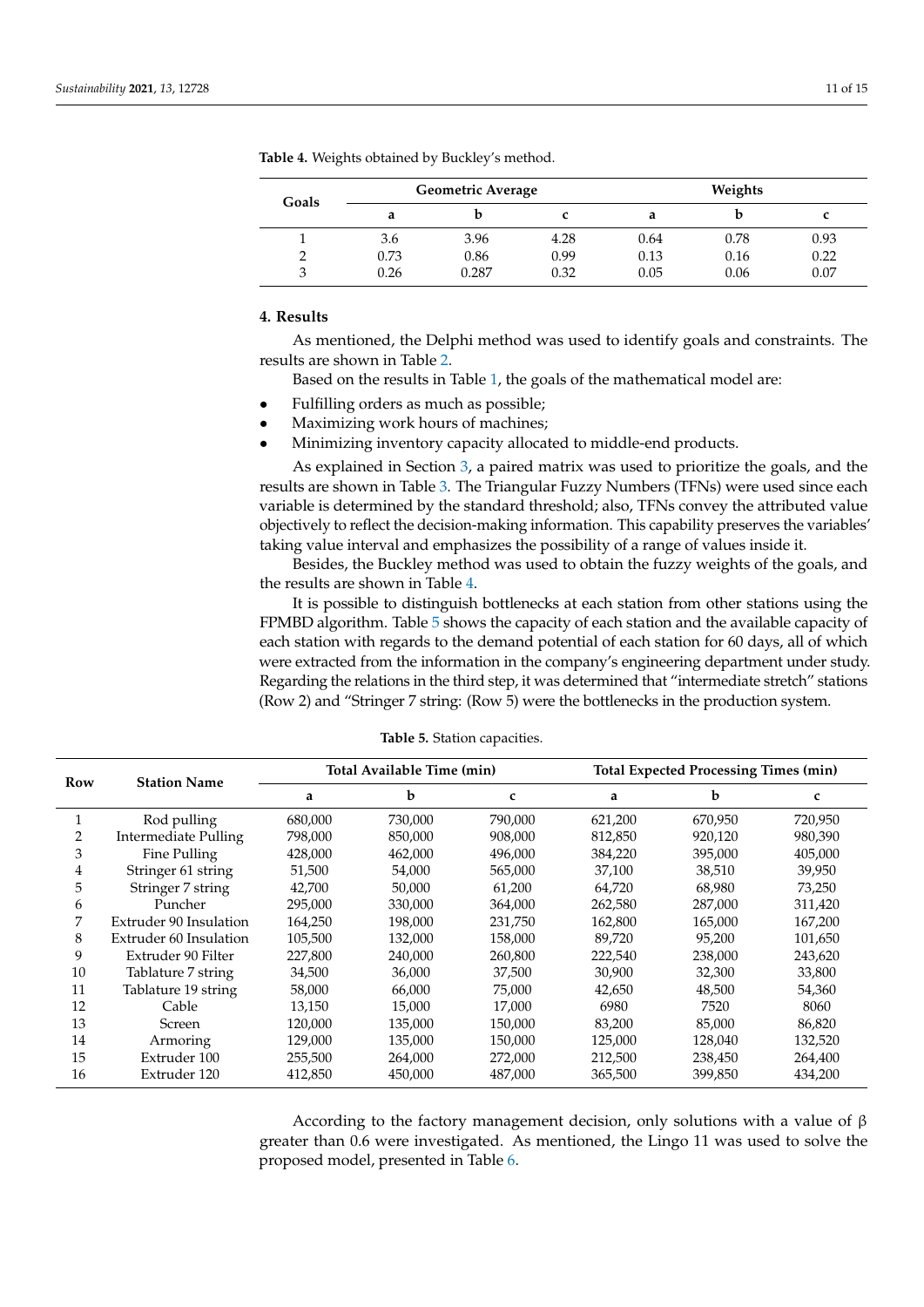| Goals | <b>Geometric Average</b> |       |      | Weights |      |      |
|-------|--------------------------|-------|------|---------|------|------|
|       | a                        | b     |      | a       | Ŋ    |      |
|       | 3.6                      | 3.96  | 4.28 | 0.64    | 0.78 | 0.93 |
|       | 0.73                     | 0.86  | 0.99 | 0.13    | 0.16 | 0.22 |
|       | 0.26                     | 0.287 | 0.32 | 0.05    | 0.06 | 0.07 |

<span id="page-11-1"></span>**Table 4.** Weights obtained by Buckley's method.

#### <span id="page-11-0"></span>**4. Results**

As mentioned, the Delphi method was used to identify goals and constraints. The results are shown in Table [2.](#page-10-0)

Based on the results in Table [1,](#page-9-1) the goals of the mathematical model are:

- Fulfilling orders as much as possible;
- Maximizing work hours of machines;
- Minimizing inventory capacity allocated to middle-end products.

As explained in Section [3,](#page-9-0) a paired matrix was used to prioritize the goals, and the results are shown in Table [3.](#page-10-1) The Triangular Fuzzy Numbers (TFNs) were used since each variable is determined by the standard threshold; also, TFNs convey the attributed value objectively to reflect the decision-making information. This capability preserves the variables' taking value interval and emphasizes the possibility of a range of values inside it.

Besides, the Buckley method was used to obtain the fuzzy weights of the goals, and the results are shown in Table [4.](#page-11-1)

It is possible to distinguish bottlenecks at each station from other stations using the FPMBD algorithm. Table [5](#page-11-2) shows the capacity of each station and the available capacity of each station with regards to the demand potential of each station for 60 days, all of which were extracted from the information in the company's engineering department under study. Regarding the relations in the third step, it was determined that "intermediate stretch" stations (Row 2) and "Stringer 7 string: (Row 5) were the bottlenecks in the production system.

<span id="page-11-2"></span>

| Row | <b>Station Name</b>         | Total Available Time (min) |         |         |         | <b>Total Expected Processing Times (min)</b> |         |  |
|-----|-----------------------------|----------------------------|---------|---------|---------|----------------------------------------------|---------|--|
|     |                             | a                          | b       | c       | a       | b                                            | c       |  |
|     | Rod pulling                 | 680,000                    | 730,000 | 790,000 | 621,200 | 670,950                                      | 720,950 |  |
|     | <b>Intermediate Pulling</b> | 798,000                    | 850,000 | 908,000 | 812,850 | 920,120                                      | 980,390 |  |
| 3   | Fine Pulling                | 428,000                    | 462,000 | 496,000 | 384,220 | 395,000                                      | 405,000 |  |
| 4   | Stringer 61 string          | 51,500                     | 54,000  | 565,000 | 37,100  | 38,510                                       | 39,950  |  |
| 5   | Stringer 7 string           | 42,700                     | 50,000  | 61,200  | 64,720  | 68,980                                       | 73,250  |  |
| 6   | Puncher                     | 295,000                    | 330,000 | 364,000 | 262,580 | 287,000                                      | 311,420 |  |
| 7   | Extruder 90 Insulation      | 164,250                    | 198,000 | 231,750 | 162,800 | 165,000                                      | 167,200 |  |
| 8   | Extruder 60 Insulation      | 105,500                    | 132,000 | 158,000 | 89,720  | 95,200                                       | 101,650 |  |
| 9   | Extruder 90 Filter          | 227,800                    | 240,000 | 260,800 | 222,540 | 238,000                                      | 243,620 |  |
| 10  | Tablature 7 string          | 34,500                     | 36,000  | 37,500  | 30,900  | 32,300                                       | 33,800  |  |
| 11  | Tablature 19 string         | 58,000                     | 66,000  | 75,000  | 42,650  | 48,500                                       | 54,360  |  |
| 12  | Cable                       | 13,150                     | 15,000  | 17,000  | 6980    | 7520                                         | 8060    |  |
| 13  | Screen                      | 120,000                    | 135,000 | 150,000 | 83,200  | 85,000                                       | 86,820  |  |
| 14  | Armoring                    | 129,000                    | 135,000 | 150,000 | 125,000 | 128,040                                      | 132,520 |  |
| 15  | Extruder 100                | 255,500                    | 264,000 | 272,000 | 212,500 | 238,450                                      | 264,400 |  |
| 16  | Extruder 120                | 412,850                    | 450,000 | 487,000 | 365,500 | 399,850                                      | 434,200 |  |

**Table 5.** Station capacities.

According to the factory management decision, only solutions with a value of  $\beta$ greater than 0.6 were investigated. As mentioned, the Lingo 11 was used to solve the proposed model, presented in Table [6.](#page-12-1)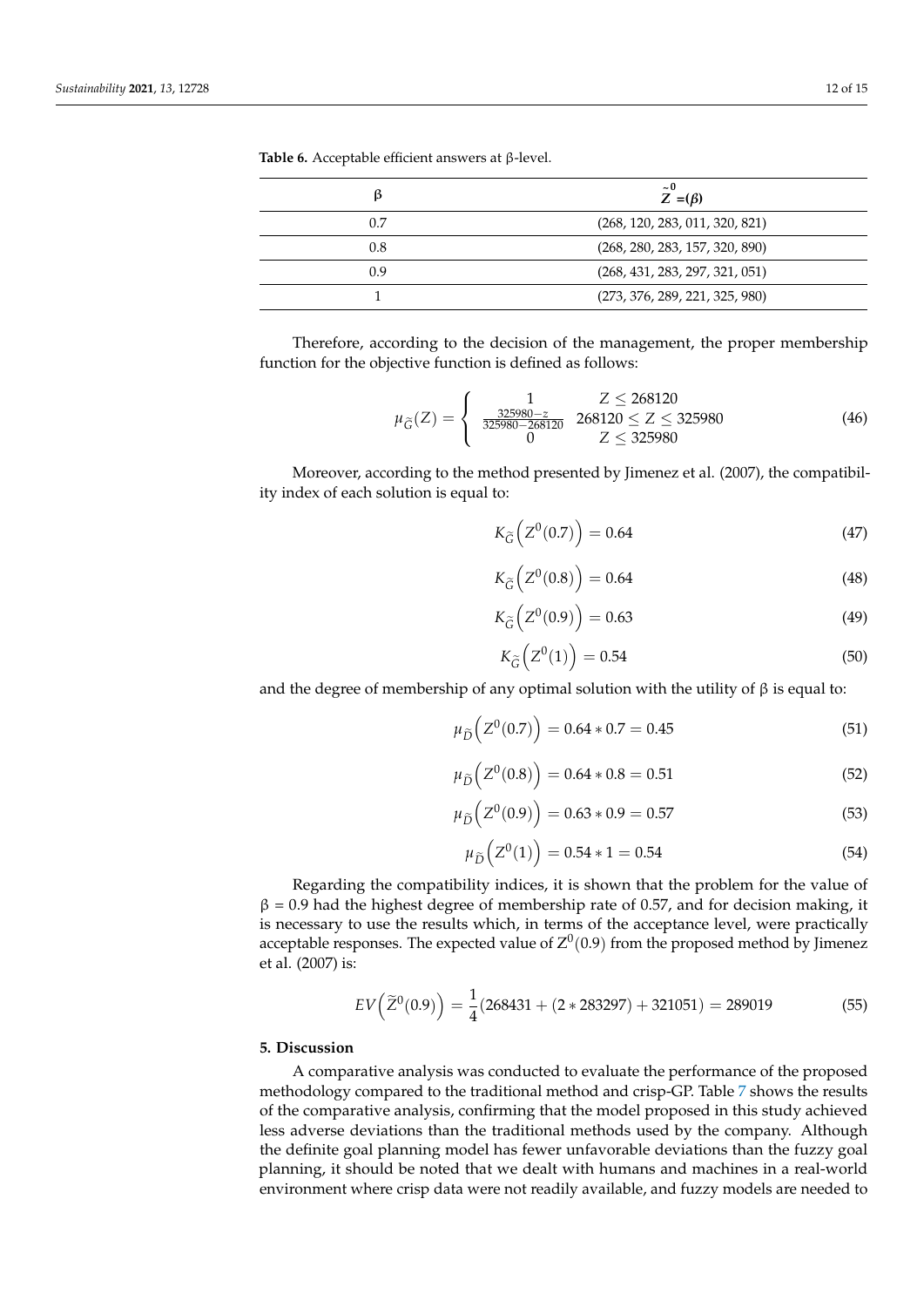| ß   | $\sim 0$<br>$Z = (\beta)$      |
|-----|--------------------------------|
| 0.7 | (268, 120, 283, 011, 320, 821) |
| 0.8 | (268, 280, 283, 157, 320, 890) |
| 0.9 | (268, 431, 283, 297, 321, 051) |
|     | (273, 376, 289, 221, 325, 980) |

<span id="page-12-1"></span>**Table 6.** Acceptable efficient answers at β-level.

Therefore, according to the decision of the management, the proper membership function for the objective function is defined as follows:

$$
\mu_{\widetilde{G}}(Z) = \begin{cases}\n1 & Z \le 268120 \\
\frac{325980 - Z}{325980 - 268120} & 268120 \le Z \le 325980 \\
0 & Z \le 325980\n\end{cases}
$$
\n(46)

Moreover, according to the method presented by Jimenez et al. (2007), the compatibility index of each solution is equal to:

$$
K_{\widetilde{G}}\left(Z^0(0.7)\right) = 0.64\tag{47}
$$

$$
K_{\widetilde{G}}\left(Z^0(0.8)\right) = 0.64\tag{48}
$$

$$
K_{\widetilde{G}}\left(Z^0(0.9)\right) = 0.63\tag{49}
$$

$$
K_{\widetilde{G}}\left(Z^0(1)\right) = 0.54\tag{50}
$$

and the degree of membership of any optimal solution with the utility of  $\beta$  is equal to:

$$
\mu_{\widetilde{D}}\left(Z^0(0.7)\right) = 0.64 * 0.7 = 0.45\tag{51}
$$

$$
\mu_{\widetilde{D}}\left(Z^0(0.8)\right) = 0.64 * 0.8 = 0.51\tag{52}
$$

$$
\mu_{\widetilde{D}}\left(Z^0(0.9)\right) = 0.63 * 0.9 = 0.57
$$
\n(53)

$$
\mu_{\widetilde{D}}\left(Z^0(1)\right) = 0.54 \times 1 = 0.54\tag{54}
$$

Regarding the compatibility indices, it is shown that the problem for the value of  $β = 0.9$  had the highest degree of membership rate of 0.57, and for decision making, it is necessary to use the results which, in terms of the acceptance level, were practically acceptable responses. The expected value of  $Z^0(0.9)$  from the proposed method by Jimenez et al. (2007) is:

$$
EV(\tilde{Z}^0(0.9)) = \frac{1}{4}(268431 + (2 \times 283297) + 321051) = 289019
$$
\n(55)

#### <span id="page-12-0"></span>**5. Discussion**

A comparative analysis was conducted to evaluate the performance of the proposed methodology compared to the traditional method and crisp-GP. Table [7](#page-13-1) shows the results of the comparative analysis, confirming that the model proposed in this study achieved less adverse deviations than the traditional methods used by the company. Although the definite goal planning model has fewer unfavorable deviations than the fuzzy goal planning, it should be noted that we dealt with humans and machines in a real-world environment where crisp data were not readily available, and fuzzy models are needed to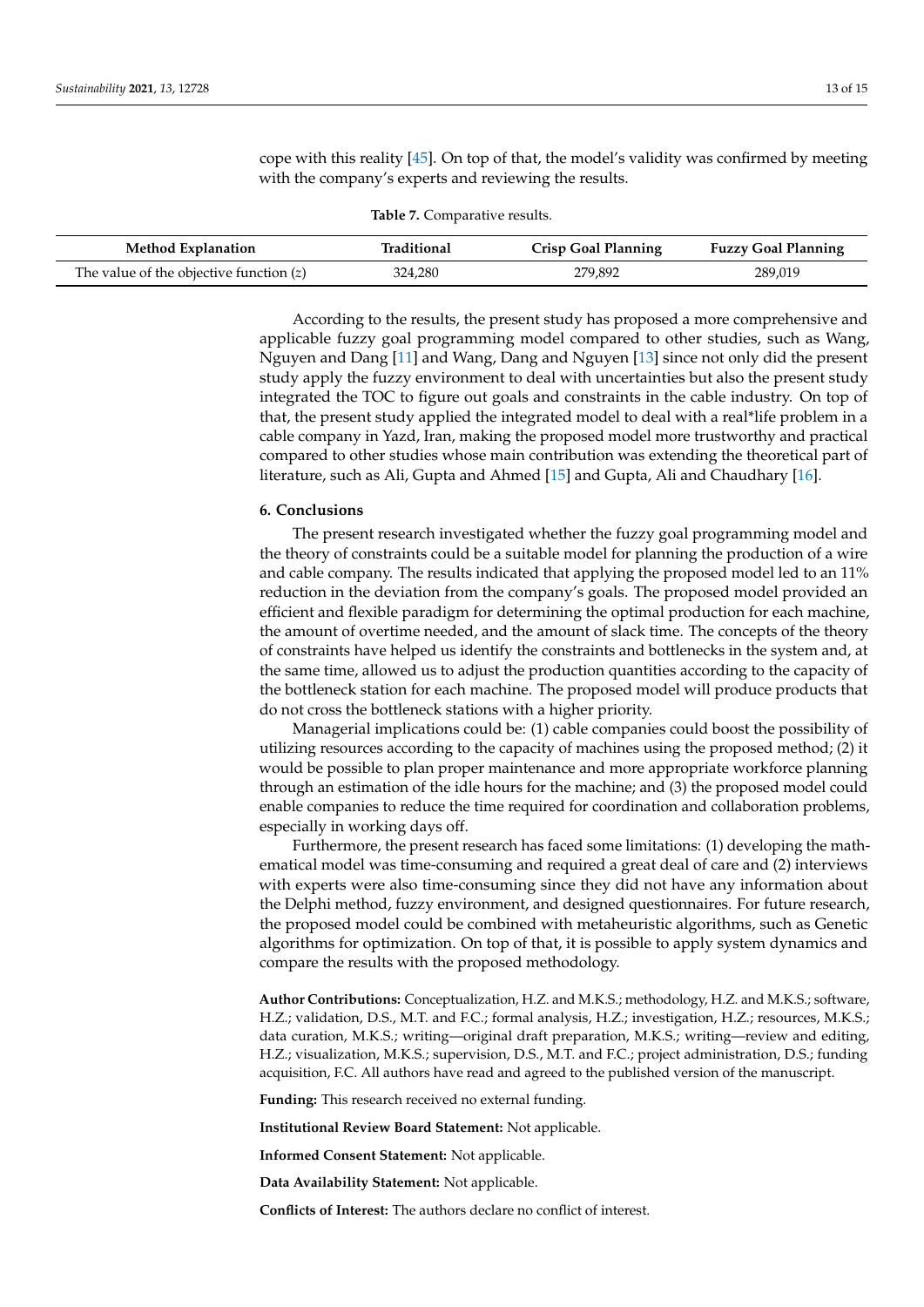cope with this reality [\[45\]](#page-15-27). On top of that, the model's validity was confirmed by meeting with the company's experts and reviewing the results.

| <b>Table 7.</b> Comparative results. |  |
|--------------------------------------|--|
|--------------------------------------|--|

<span id="page-13-1"></span>

| <b>Method Explanation</b>                 | Traditional | <b>Crisp Goal Planning</b> | <b>Fuzzy Goal Planning</b> |
|-------------------------------------------|-------------|----------------------------|----------------------------|
| The value of the objective function $(z)$ | 324,280     | 279,892                    | 289,019                    |

According to the results, the present study has proposed a more comprehensive and applicable fuzzy goal programming model compared to other studies, such as Wang, Nguyen and Dang [\[11\]](#page-14-10) and Wang, Dang and Nguyen [\[13\]](#page-14-12) since not only did the present study apply the fuzzy environment to deal with uncertainties but also the present study integrated the TOC to figure out goals and constraints in the cable industry. On top of that, the present study applied the integrated model to deal with a real\*life problem in a cable company in Yazd, Iran, making the proposed model more trustworthy and practical compared to other studies whose main contribution was extending the theoretical part of literature, such as Ali, Gupta and Ahmed [\[15\]](#page-14-14) and Gupta, Ali and Chaudhary [\[16\]](#page-14-15).

#### <span id="page-13-0"></span>**6. Conclusions**

The present research investigated whether the fuzzy goal programming model and the theory of constraints could be a suitable model for planning the production of a wire and cable company. The results indicated that applying the proposed model led to an 11% reduction in the deviation from the company's goals. The proposed model provided an efficient and flexible paradigm for determining the optimal production for each machine, the amount of overtime needed, and the amount of slack time. The concepts of the theory of constraints have helped us identify the constraints and bottlenecks in the system and, at the same time, allowed us to adjust the production quantities according to the capacity of the bottleneck station for each machine. The proposed model will produce products that do not cross the bottleneck stations with a higher priority.

Managerial implications could be: (1) cable companies could boost the possibility of utilizing resources according to the capacity of machines using the proposed method; (2) it would be possible to plan proper maintenance and more appropriate workforce planning through an estimation of the idle hours for the machine; and (3) the proposed model could enable companies to reduce the time required for coordination and collaboration problems, especially in working days off.

Furthermore, the present research has faced some limitations: (1) developing the mathematical model was time-consuming and required a great deal of care and (2) interviews with experts were also time-consuming since they did not have any information about the Delphi method, fuzzy environment, and designed questionnaires. For future research, the proposed model could be combined with metaheuristic algorithms, such as Genetic algorithms for optimization. On top of that, it is possible to apply system dynamics and compare the results with the proposed methodology.

**Author Contributions:** Conceptualization, H.Z. and M.K.S.; methodology, H.Z. and M.K.S.; software, H.Z.; validation, D.S., M.T. and F.C.; formal analysis, H.Z.; investigation, H.Z.; resources, M.K.S.; data curation, M.K.S.; writing—original draft preparation, M.K.S.; writing—review and editing, H.Z.; visualization, M.K.S.; supervision, D.S., M.T. and F.C.; project administration, D.S.; funding acquisition, F.C. All authors have read and agreed to the published version of the manuscript.

**Funding:** This research received no external funding.

**Institutional Review Board Statement:** Not applicable.

**Informed Consent Statement:** Not applicable.

**Data Availability Statement:** Not applicable.

**Conflicts of Interest:** The authors declare no conflict of interest.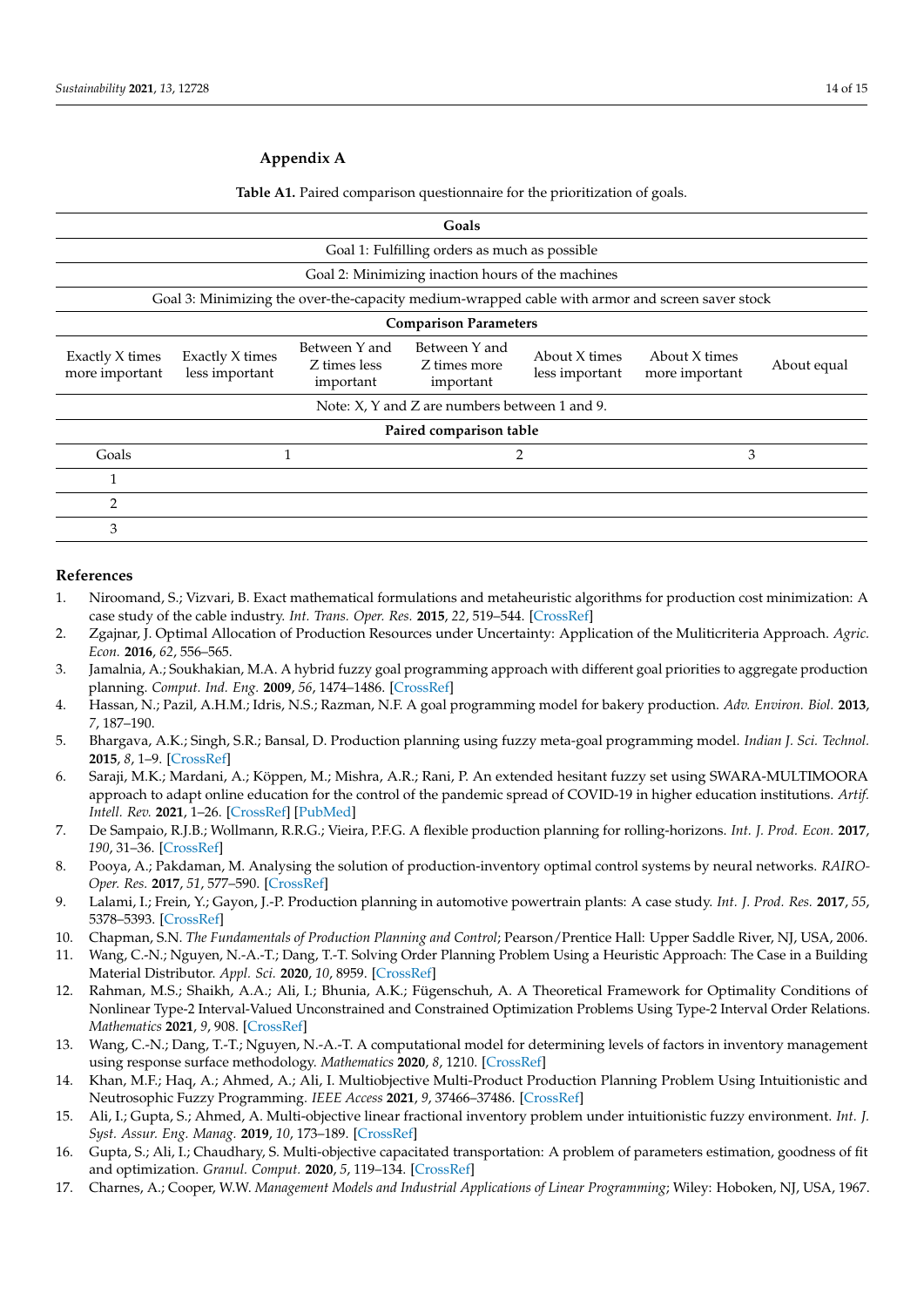#### <span id="page-14-17"></span>**Appendix A**

**Table A1.** Paired comparison questionnaire for the prioritization of goals.

| Goals                                         |                                   |                                            |                                                   |                                 |                                                                                                 |             |
|-----------------------------------------------|-----------------------------------|--------------------------------------------|---------------------------------------------------|---------------------------------|-------------------------------------------------------------------------------------------------|-------------|
| Goal 1: Fulfilling orders as much as possible |                                   |                                            |                                                   |                                 |                                                                                                 |             |
|                                               |                                   |                                            | Goal 2: Minimizing inaction hours of the machines |                                 |                                                                                                 |             |
|                                               |                                   |                                            |                                                   |                                 | Goal 3: Minimizing the over-the-capacity medium-wrapped cable with armor and screen saver stock |             |
| <b>Comparison Parameters</b>                  |                                   |                                            |                                                   |                                 |                                                                                                 |             |
| Exactly X times<br>more important             | Exactly X times<br>less important | Between Y and<br>Z times less<br>important | Between Y and<br>Z times more<br>important        | About X times<br>less important | About X times<br>more important                                                                 | About equal |
| Note: X, Y and Z are numbers between 1 and 9. |                                   |                                            |                                                   |                                 |                                                                                                 |             |
| Paired comparison table                       |                                   |                                            |                                                   |                                 |                                                                                                 |             |
| Goals                                         | 1                                 |                                            | 2                                                 |                                 | 3                                                                                               |             |
| 1                                             |                                   |                                            |                                                   |                                 |                                                                                                 |             |
| 2                                             |                                   |                                            |                                                   |                                 |                                                                                                 |             |
| 3                                             |                                   |                                            |                                                   |                                 |                                                                                                 |             |

#### **References**

- <span id="page-14-0"></span>1. Niroomand, S.; Vizvari, B. Exact mathematical formulations and metaheuristic algorithms for production cost minimization: A case study of the cable industry. *Int. Trans. Oper. Res.* **2015**, *22*, 519–544. [\[CrossRef\]](http://doi.org/10.1111/itor.12096)
- <span id="page-14-1"></span>2. Zgajnar, J. Optimal Allocation of Production Resources under Uncertainty: Application of the Muliticriteria Approach. *Agric. Econ.* **2016**, *62*, 556–565.
- <span id="page-14-2"></span>3. Jamalnia, A.; Soukhakian, M.A. A hybrid fuzzy goal programming approach with different goal priorities to aggregate production planning. *Comput. Ind. Eng.* **2009**, *56*, 1474–1486. [\[CrossRef\]](http://doi.org/10.1016/j.cie.2008.09.010)
- <span id="page-14-3"></span>4. Hassan, N.; Pazil, A.H.M.; Idris, N.S.; Razman, N.F. A goal programming model for bakery production. *Adv. Environ. Biol.* **2013**, *7*, 187–190.
- <span id="page-14-4"></span>5. Bhargava, A.K.; Singh, S.R.; Bansal, D. Production planning using fuzzy meta-goal programming model. *Indian J. Sci. Technol.* **2015**, *8*, 1–9. [\[CrossRef\]](http://doi.org/10.17485/ijst/2015/v8i34/70706)
- <span id="page-14-5"></span>6. Saraji, M.K.; Mardani, A.; Köppen, M.; Mishra, A.R.; Rani, P. An extended hesitant fuzzy set using SWARA-MULTIMOORA approach to adapt online education for the control of the pandemic spread of COVID-19 in higher education institutions. *Artif. Intell. Rev.* **2021**, 1–26. [\[CrossRef\]](http://doi.org/10.1007/s10462-021-10029-9) [\[PubMed\]](http://www.ncbi.nlm.nih.gov/pubmed/34103781)
- <span id="page-14-6"></span>7. De Sampaio, R.J.B.; Wollmann, R.R.G.; Vieira, P.F.G. A flexible production planning for rolling-horizons. *Int. J. Prod. Econ.* **2017**, *190*, 31–36. [\[CrossRef\]](http://doi.org/10.1016/j.ijpe.2017.01.003)
- <span id="page-14-7"></span>8. Pooya, A.; Pakdaman, M. Analysing the solution of production-inventory optimal control systems by neural networks. *RAIRO-Oper. Res.* **2017**, *51*, 577–590. [\[CrossRef\]](http://doi.org/10.1051/ro/2016044)
- <span id="page-14-8"></span>9. Lalami, I.; Frein, Y.; Gayon, J.-P. Production planning in automotive powertrain plants: A case study. *Int. J. Prod. Res.* **2017**, *55*, 5378–5393. [\[CrossRef\]](http://doi.org/10.1080/00207543.2017.1315192)
- <span id="page-14-9"></span>10. Chapman, S.N. *The Fundamentals of Production Planning and Control*; Pearson/Prentice Hall: Upper Saddle River, NJ, USA, 2006.
- <span id="page-14-10"></span>11. Wang, C.-N.; Nguyen, N.-A.-T.; Dang, T.-T. Solving Order Planning Problem Using a Heuristic Approach: The Case in a Building Material Distributor. *Appl. Sci.* **2020**, *10*, 8959. [\[CrossRef\]](http://doi.org/10.3390/app10248959)
- <span id="page-14-11"></span>12. Rahman, M.S.; Shaikh, A.A.; Ali, I.; Bhunia, A.K.; Fügenschuh, A. A Theoretical Framework for Optimality Conditions of Nonlinear Type-2 Interval-Valued Unconstrained and Constrained Optimization Problems Using Type-2 Interval Order Relations. *Mathematics* **2021**, *9*, 908. [\[CrossRef\]](http://doi.org/10.3390/math9080908)
- <span id="page-14-12"></span>13. Wang, C.-N.; Dang, T.-T.; Nguyen, N.-A.-T. A computational model for determining levels of factors in inventory management using response surface methodology. *Mathematics* **2020**, *8*, 1210. [\[CrossRef\]](http://doi.org/10.3390/math8081210)
- <span id="page-14-13"></span>14. Khan, M.F.; Haq, A.; Ahmed, A.; Ali, I. Multiobjective Multi-Product Production Planning Problem Using Intuitionistic and Neutrosophic Fuzzy Programming. *IEEE Access* **2021**, *9*, 37466–37486. [\[CrossRef\]](http://doi.org/10.1109/ACCESS.2021.3063725)
- <span id="page-14-14"></span>15. Ali, I.; Gupta, S.; Ahmed, A. Multi-objective linear fractional inventory problem under intuitionistic fuzzy environment. *Int. J. Syst. Assur. Eng. Manag.* **2019**, *10*, 173–189. [\[CrossRef\]](http://doi.org/10.1007/s13198-018-0738-5)
- <span id="page-14-15"></span>16. Gupta, S.; Ali, I.; Chaudhary, S. Multi-objective capacitated transportation: A problem of parameters estimation, goodness of fit and optimization. *Granul. Comput.* **2020**, *5*, 119–134. [\[CrossRef\]](http://doi.org/10.1007/s41066-018-0129-y)
- <span id="page-14-16"></span>17. Charnes, A.; Cooper, W.W. *Management Models and Industrial Applications of Linear Programming*; Wiley: Hoboken, NJ, USA, 1967.